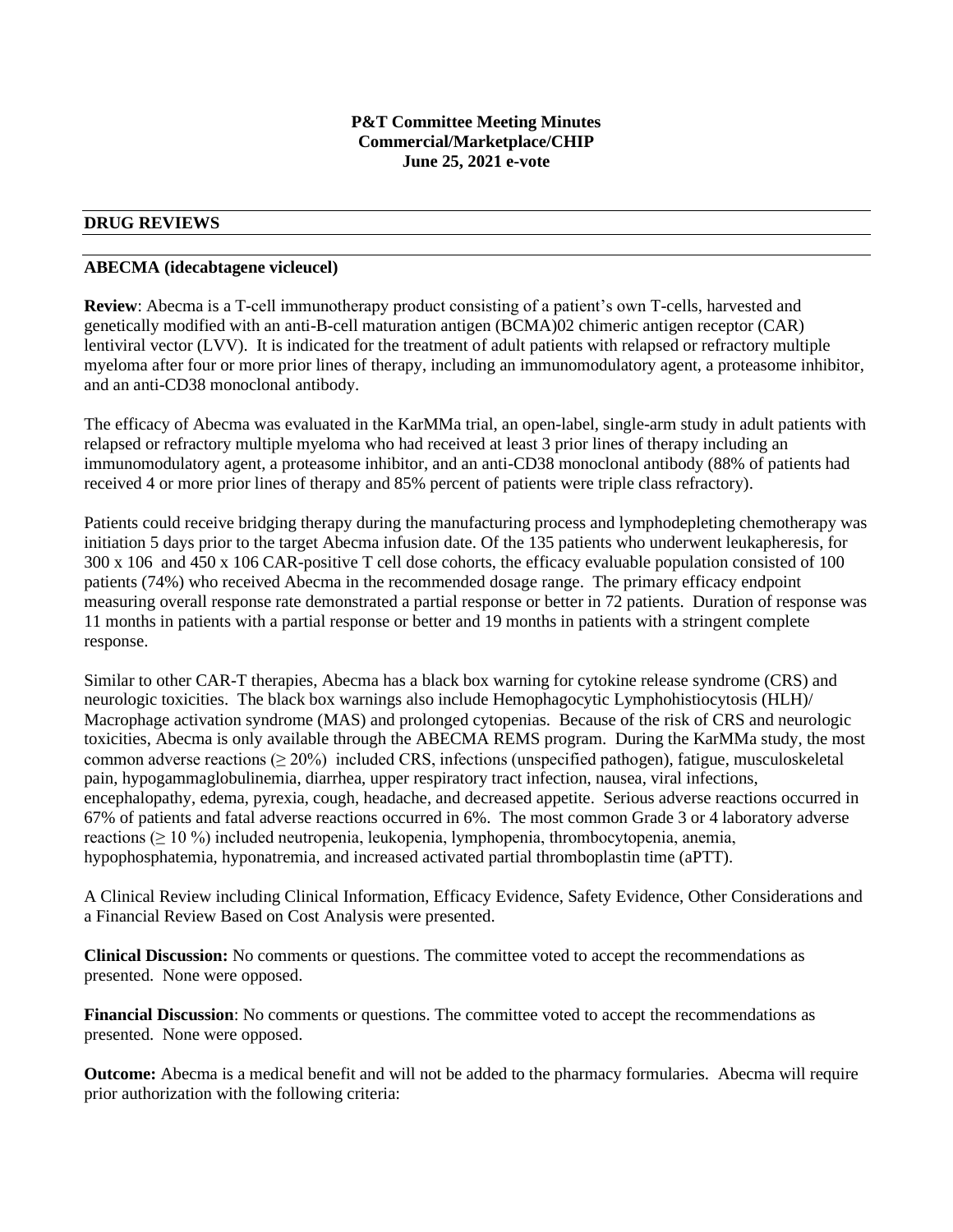#### **P&T Committee Meeting Minutes Commercial/Marketplace/CHIP June 25, 2021 e-vote**

### **DRUG REVIEWS**

#### **ABECMA (idecabtagene vicleucel)**

**Review**: Abecma is a T-cell immunotherapy product consisting of a patient's own T-cells, harvested and genetically modified with an anti-B-cell maturation antigen (BCMA)02 chimeric antigen receptor (CAR) lentiviral vector (LVV). It is indicated for the treatment of adult patients with relapsed or refractory multiple myeloma after four or more prior lines of therapy, including an immunomodulatory agent, a proteasome inhibitor, and an anti-CD38 monoclonal antibody.

The efficacy of Abecma was evaluated in the KarMMa trial, an open-label, single-arm study in adult patients with relapsed or refractory multiple myeloma who had received at least 3 prior lines of therapy including an immunomodulatory agent, a proteasome inhibitor, and an anti-CD38 monoclonal antibody (88% of patients had received 4 or more prior lines of therapy and 85% percent of patients were triple class refractory).

Patients could receive bridging therapy during the manufacturing process and lymphodepleting chemotherapy was initiation 5 days prior to the target Abecma infusion date. Of the 135 patients who underwent leukapheresis, for 300 x 106 and 450 x 106 CAR-positive T cell dose cohorts, the efficacy evaluable population consisted of 100 patients (74%) who received Abecma in the recommended dosage range. The primary efficacy endpoint measuring overall response rate demonstrated a partial response or better in 72 patients. Duration of response was 11 months in patients with a partial response or better and 19 months in patients with a stringent complete response.

Similar to other CAR-T therapies, Abecma has a black box warning for cytokine release syndrome (CRS) and neurologic toxicities. The black box warnings also include Hemophagocytic Lymphohistiocytosis (HLH)/ Macrophage activation syndrome (MAS) and prolonged cytopenias. Because of the risk of CRS and neurologic toxicities, Abecma is only available through the ABECMA REMS program. During the KarMMa study, the most common adverse reactions ( $\geq 20\%$ ) included CRS, infections (unspecified pathogen), fatigue, musculoskeletal pain, hypogammaglobulinemia, diarrhea, upper respiratory tract infection, nausea, viral infections, encephalopathy, edema, pyrexia, cough, headache, and decreased appetite. Serious adverse reactions occurred in 67% of patients and fatal adverse reactions occurred in 6%. The most common Grade 3 or 4 laboratory adverse reactions (≥ 10 %) included neutropenia, leukopenia, lymphopenia, thrombocytopenia, anemia, hypophosphatemia, hyponatremia, and increased activated partial thromboplastin time (aPTT).

A Clinical Review including Clinical Information, Efficacy Evidence, Safety Evidence, Other Considerations and a Financial Review Based on Cost Analysis were presented.

**Clinical Discussion:** No comments or questions. The committee voted to accept the recommendations as presented. None were opposed.

**Financial Discussion**: No comments or questions. The committee voted to accept the recommendations as presented. None were opposed.

**Outcome:** Abecma is a medical benefit and will not be added to the pharmacy formularies. Abecma will require prior authorization with the following criteria: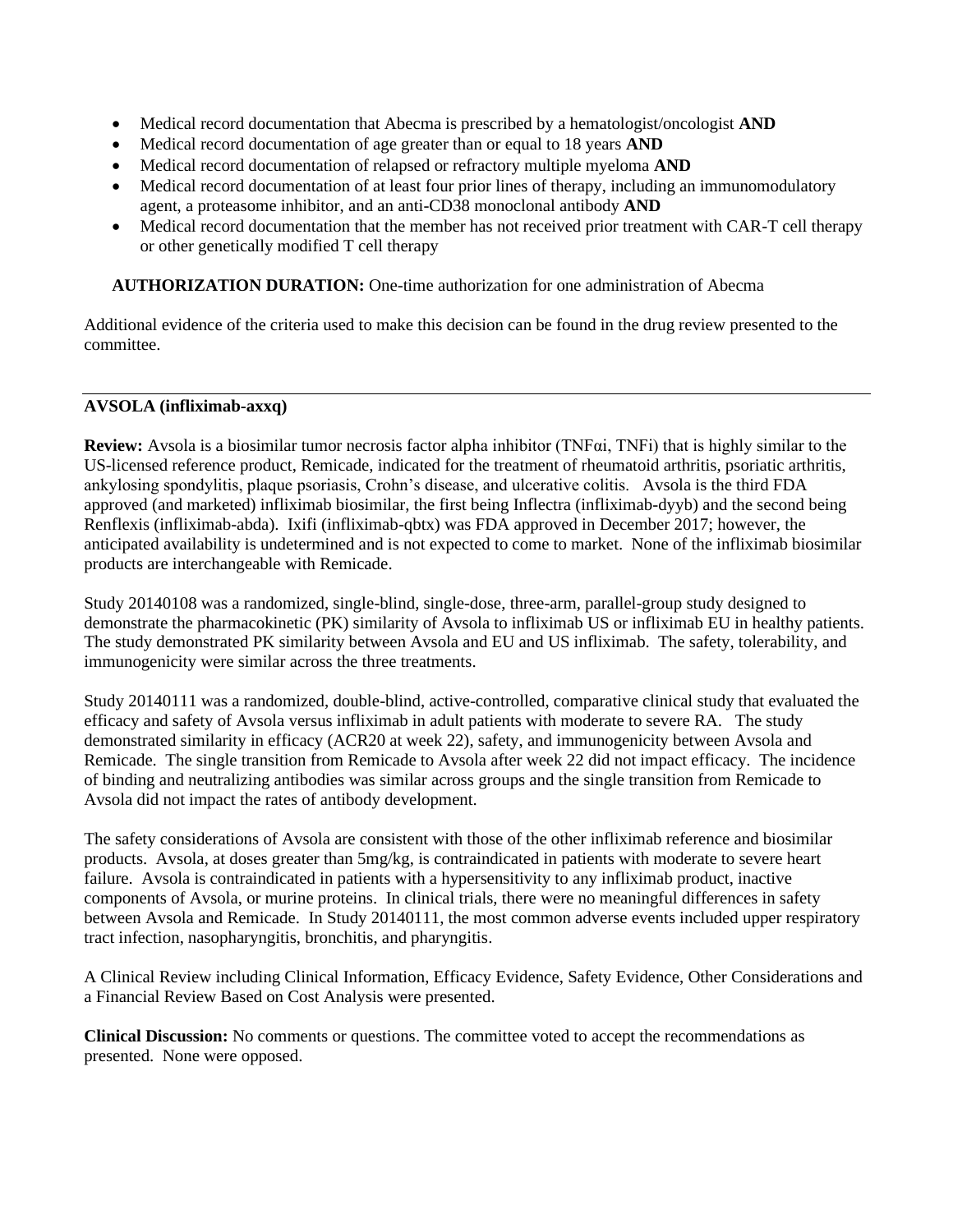- Medical record documentation that Abecma is prescribed by a hematologist/oncologist **AND**
- Medical record documentation of age greater than or equal to 18 years **AND**
- Medical record documentation of relapsed or refractory multiple myeloma **AND**
- Medical record documentation of at least four prior lines of therapy, including an immunomodulatory agent, a proteasome inhibitor, and an anti-CD38 monoclonal antibody **AND**
- Medical record documentation that the member has not received prior treatment with CAR-T cell therapy or other genetically modified T cell therapy

**AUTHORIZATION DURATION:** One-time authorization for one administration of Abecma

Additional evidence of the criteria used to make this decision can be found in the drug review presented to the committee.

## **AVSOLA (infliximab-axxq)**

**Review:** Avsola is a biosimilar tumor necrosis factor alpha inhibitor (TNFαi, TNFi) that is highly similar to the US-licensed reference product, Remicade, indicated for the treatment of rheumatoid arthritis, psoriatic arthritis, ankylosing spondylitis, plaque psoriasis, Crohn's disease, and ulcerative colitis. Avsola is the third FDA approved (and marketed) infliximab biosimilar, the first being Inflectra (infliximab-dyyb) and the second being Renflexis (infliximab-abda). Ixifi (infliximab-qbtx) was FDA approved in December 2017; however, the anticipated availability is undetermined and is not expected to come to market. None of the infliximab biosimilar products are interchangeable with Remicade.

Study 20140108 was a randomized, single-blind, single-dose, three-arm, parallel-group study designed to demonstrate the pharmacokinetic (PK) similarity of Avsola to infliximab US or infliximab EU in healthy patients. The study demonstrated PK similarity between Avsola and EU and US infliximab. The safety, tolerability, and immunogenicity were similar across the three treatments.

Study 20140111 was a randomized, double-blind, active-controlled, comparative clinical study that evaluated the efficacy and safety of Avsola versus infliximab in adult patients with moderate to severe RA. The study demonstrated similarity in efficacy (ACR20 at week 22), safety, and immunogenicity between Avsola and Remicade. The single transition from Remicade to Avsola after week 22 did not impact efficacy. The incidence of binding and neutralizing antibodies was similar across groups and the single transition from Remicade to Avsola did not impact the rates of antibody development.

The safety considerations of Avsola are consistent with those of the other infliximab reference and biosimilar products. Avsola, at doses greater than 5mg/kg, is contraindicated in patients with moderate to severe heart failure. Avsola is contraindicated in patients with a hypersensitivity to any infliximab product, inactive components of Avsola, or murine proteins. In clinical trials, there were no meaningful differences in safety between Avsola and Remicade. In Study 20140111, the most common adverse events included upper respiratory tract infection, nasopharyngitis, bronchitis, and pharyngitis.

A Clinical Review including Clinical Information, Efficacy Evidence, Safety Evidence, Other Considerations and a Financial Review Based on Cost Analysis were presented.

**Clinical Discussion:** No comments or questions. The committee voted to accept the recommendations as presented. None were opposed.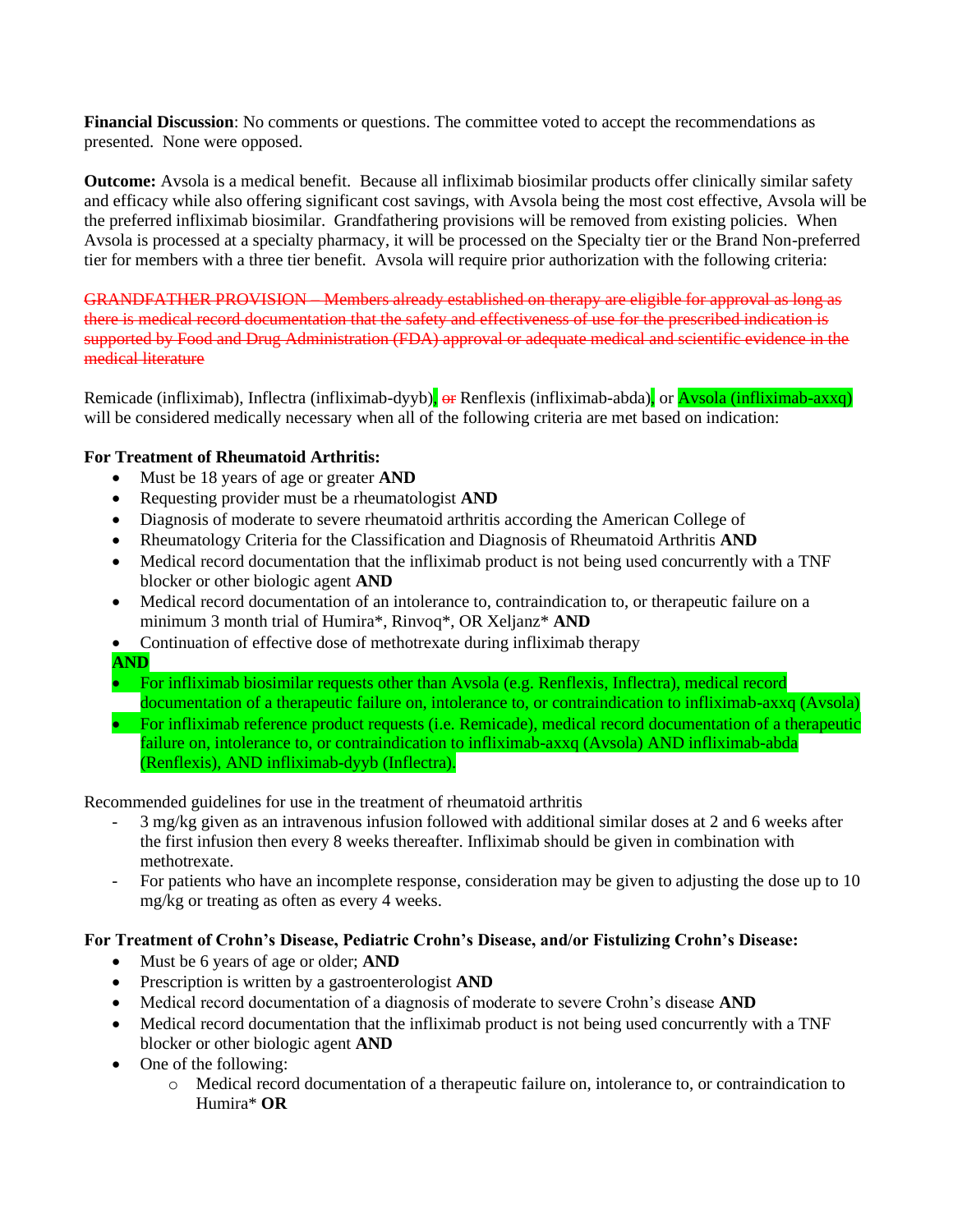**Financial Discussion**: No comments or questions. The committee voted to accept the recommendations as presented. None were opposed.

**Outcome:** Avsola is a medical benefit. Because all infliximab biosimilar products offer clinically similar safety and efficacy while also offering significant cost savings, with Avsola being the most cost effective, Avsola will be the preferred infliximab biosimilar. Grandfathering provisions will be removed from existing policies. When Avsola is processed at a specialty pharmacy, it will be processed on the Specialty tier or the Brand Non-preferred tier for members with a three tier benefit. Avsola will require prior authorization with the following criteria:

GRANDFATHER PROVISION – Members already established on therapy are eligible for approval as long as there is medical record documentation that the safety and effectiveness of use for the prescribed indication is supported by Food and Drug Administration (FDA) approval or adequate medical and scientific evidence in the medical literature

Remicade (infliximab), Inflectra (infliximab-dyyb), or Renflexis (infliximab-abda), or Avsola (infliximab-axxq) will be considered medically necessary when all of the following criteria are met based on indication:

## **For Treatment of Rheumatoid Arthritis:**

- Must be 18 years of age or greater **AND**
- Requesting provider must be a rheumatologist **AND**
- Diagnosis of moderate to severe rheumatoid arthritis according the American College of
- Rheumatology Criteria for the Classification and Diagnosis of Rheumatoid Arthritis **AND**
- Medical record documentation that the infliximab product is not being used concurrently with a TNF blocker or other biologic agent **AND**
- Medical record documentation of an intolerance to, contraindication to, or therapeutic failure on a minimum 3 month trial of Humira\*, Rinvoq\*, OR Xeljanz\* **AND**
- Continuation of effective dose of methotrexate during infliximab therapy
- **AND**
- For infliximab biosimilar requests other than Avsola (e.g. Renflexis, Inflectra), medical record documentation of a therapeutic failure on, intolerance to, or contraindication to infliximab-axxq (Avsola)
- For infliximab reference product requests (i.e. Remicade), medical record documentation of a therapeutic failure on, intolerance to, or contraindication to infliximab-axxq (Avsola) AND infliximab-abda (Renflexis), AND infliximab-dyyb (Inflectra).

Recommended guidelines for use in the treatment of rheumatoid arthritis

- 3 mg/kg given as an intravenous infusion followed with additional similar doses at 2 and 6 weeks after the first infusion then every 8 weeks thereafter. Infliximab should be given in combination with methotrexate.
- For patients who have an incomplete response, consideration may be given to adjusting the dose up to 10 mg/kg or treating as often as every 4 weeks.

### **For Treatment of Crohn's Disease, Pediatric Crohn's Disease, and/or Fistulizing Crohn's Disease:**

- Must be 6 years of age or older; **AND**
- Prescription is written by a gastroenterologist **AND**
- Medical record documentation of a diagnosis of moderate to severe Crohn's disease **AND**
- Medical record documentation that the infliximab product is not being used concurrently with a TNF blocker or other biologic agent **AND**
- One of the following:
	- o Medical record documentation of a therapeutic failure on, intolerance to, or contraindication to Humira\* **OR**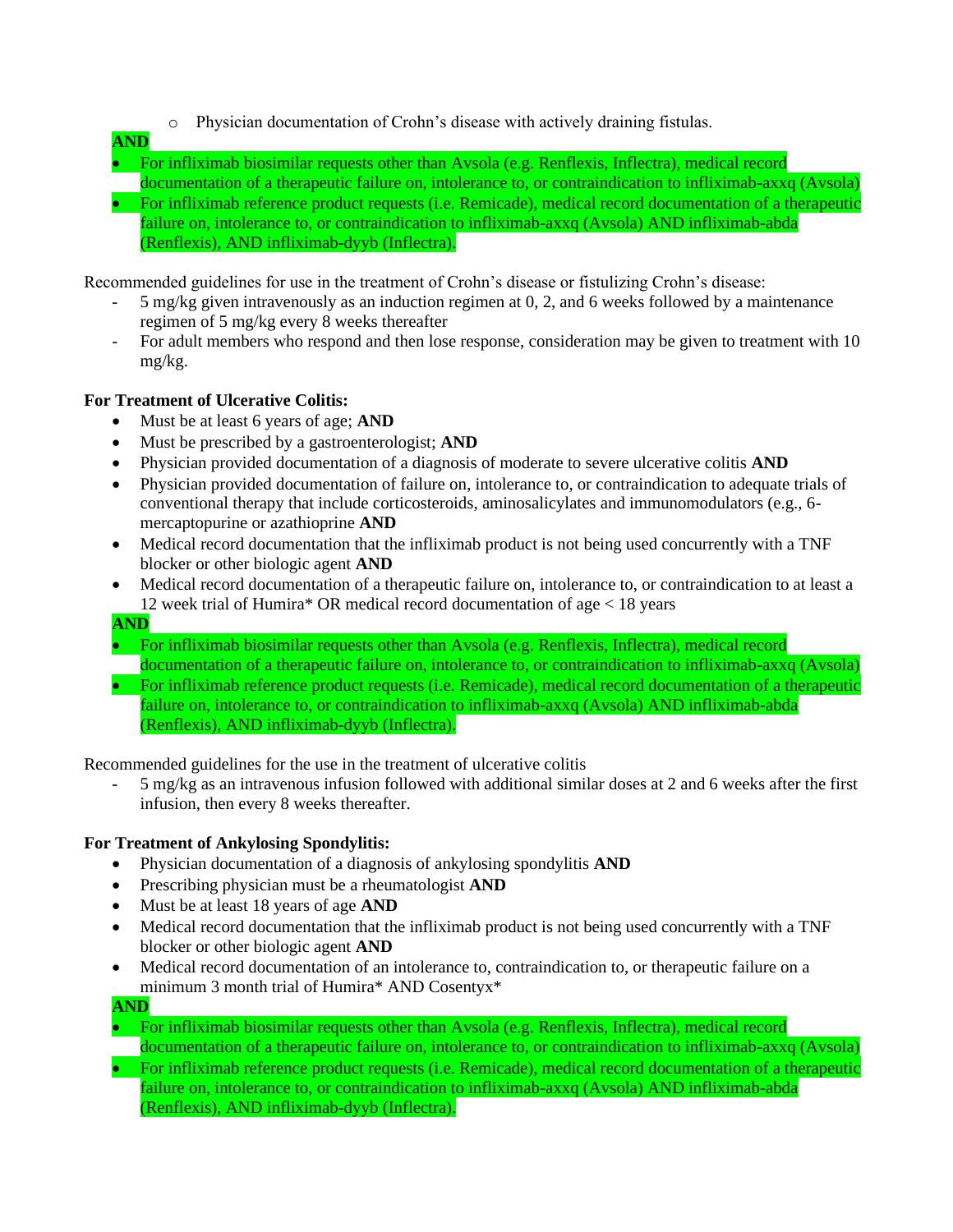- o Physician documentation of Crohn's disease with actively draining fistulas.
- **AND**
- For infliximab biosimilar requests other than Avsola (e.g. Renflexis, Inflectra), medical record documentation of a therapeutic failure on, intolerance to, or contraindication to infliximab-axxq (Avsola) • For infliximab reference product requests (i.e. Remicade), medical record documentation of a therapeutic failure on, intolerance to, or contraindication to infliximab-axxq (Avsola) AND infliximab-abda (Renflexis), AND infliximab-dyyb (Inflectra).

Recommended guidelines for use in the treatment of Crohn's disease or fistulizing Crohn's disease:

- 5 mg/kg given intravenously as an induction regimen at 0, 2, and 6 weeks followed by a maintenance regimen of 5 mg/kg every 8 weeks thereafter
- For adult members who respond and then lose response, consideration may be given to treatment with 10 mg/kg.

## **For Treatment of Ulcerative Colitis:**

- Must be at least 6 years of age; **AND**
- Must be prescribed by a gastroenterologist; **AND**
- Physician provided documentation of a diagnosis of moderate to severe ulcerative colitis **AND**
- Physician provided documentation of failure on, intolerance to, or contraindication to adequate trials of conventional therapy that include corticosteroids, aminosalicylates and immunomodulators (e.g., 6 mercaptopurine or azathioprine **AND**
- Medical record documentation that the infliximab product is not being used concurrently with a TNF blocker or other biologic agent **AND**
- Medical record documentation of a therapeutic failure on, intolerance to, or contraindication to at least a 12 week trial of Humira\* OR medical record documentation of age < 18 years
- **AND**
- For infliximab biosimilar requests other than Avsola (e.g. Renflexis, Inflectra), medical record documentation of a therapeutic failure on, intolerance to, or contraindication to infliximab-axxq (Avsola)
- For infliximab reference product requests (i.e. Remicade), medical record documentation of a therapeutic failure on, intolerance to, or contraindication to infliximab-axxq (Avsola) AND infliximab-abda (Renflexis), AND infliximab-dyyb (Inflectra).

Recommended guidelines for the use in the treatment of ulcerative colitis

- 5 mg/kg as an intravenous infusion followed with additional similar doses at 2 and 6 weeks after the first infusion, then every 8 weeks thereafter.

# **For Treatment of Ankylosing Spondylitis:**

- Physician documentation of a diagnosis of ankylosing spondylitis **AND**
- Prescribing physician must be a rheumatologist **AND**
- Must be at least 18 years of age **AND**
- Medical record documentation that the infliximab product is not being used concurrently with a TNF blocker or other biologic agent **AND**
- Medical record documentation of an intolerance to, contraindication to, or therapeutic failure on a minimum 3 month trial of Humira\* AND Cosentyx\*
- **AND**
- For infliximab biosimilar requests other than Avsola (e.g. Renflexis, Inflectra), medical record documentation of a therapeutic failure on, intolerance to, or contraindication to infliximab-axxq (Avsola)
- For infliximab reference product requests (i.e. Remicade), medical record documentation of a therapeutic failure on, intolerance to, or contraindication to infliximab-axxq (Avsola) AND infliximab-abda (Renflexis), AND infliximab-dyyb (Inflectra).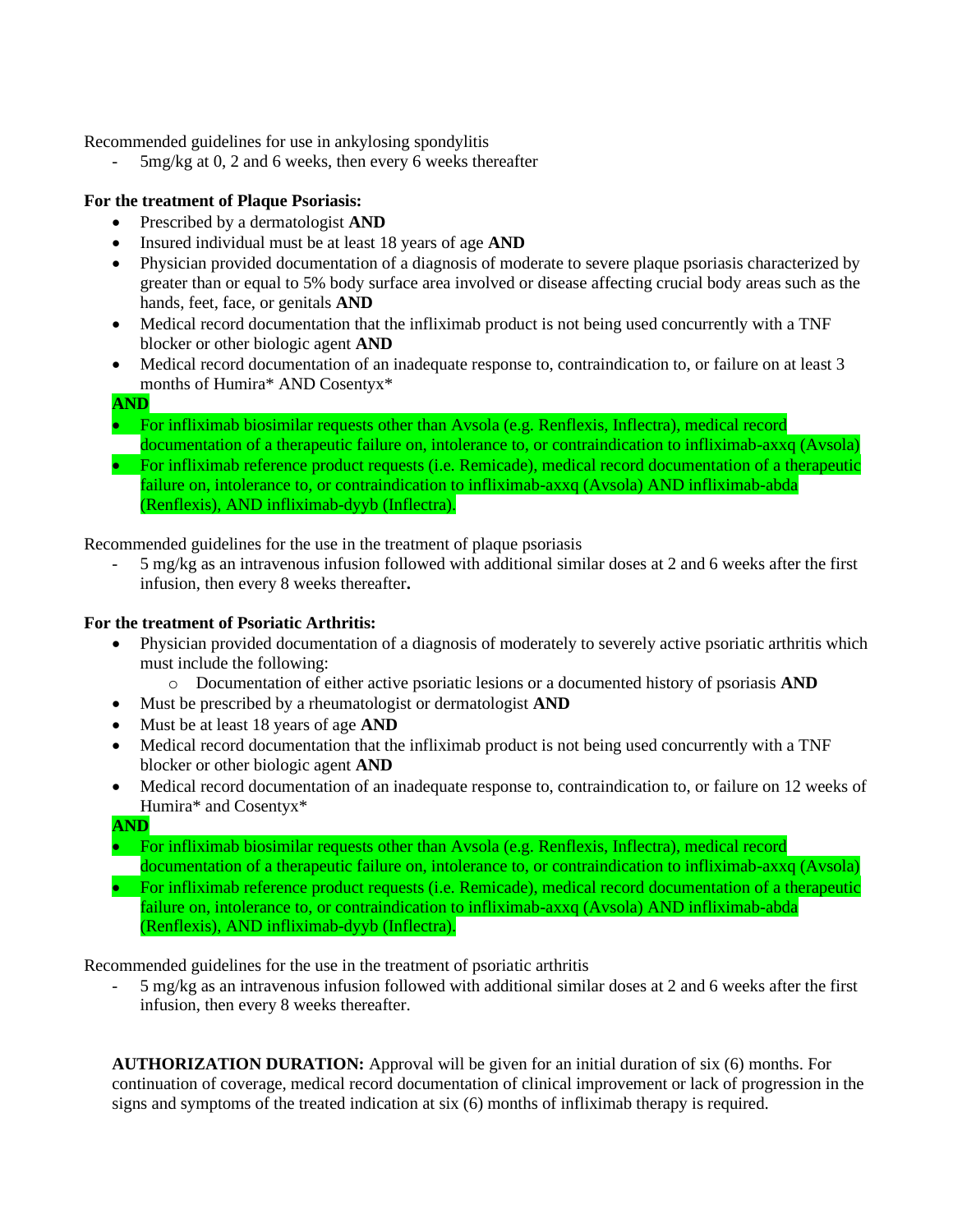Recommended guidelines for use in ankylosing spondylitis

- 5mg/kg at 0, 2 and 6 weeks, then every 6 weeks thereafter

## **For the treatment of Plaque Psoriasis:**

- Prescribed by a dermatologist **AND**
- Insured individual must be at least 18 years of age **AND**
- Physician provided documentation of a diagnosis of moderate to severe plaque psoriasis characterized by greater than or equal to 5% body surface area involved or disease affecting crucial body areas such as the hands, feet, face, or genitals **AND**
- Medical record documentation that the infliximab product is not being used concurrently with a TNF blocker or other biologic agent **AND**
- Medical record documentation of an inadequate response to, contraindication to, or failure on at least 3 months of Humira\* AND Cosentyx\*

**AND**

- For infliximab biosimilar requests other than Avsola (e.g. Renflexis, Inflectra), medical record documentation of a therapeutic failure on, intolerance to, or contraindication to infliximab-axxq (Avsola)
- For infliximab reference product requests (i.e. Remicade), medical record documentation of a therapeutic failure on, intolerance to, or contraindication to infliximab-axxq (Avsola) AND infliximab-abda (Renflexis), AND infliximab-dyyb (Inflectra).

Recommended guidelines for the use in the treatment of plaque psoriasis

- 5 mg/kg as an intravenous infusion followed with additional similar doses at 2 and 6 weeks after the first infusion, then every 8 weeks thereafter**.**

## **For the treatment of Psoriatic Arthritis:**

- Physician provided documentation of a diagnosis of moderately to severely active psoriatic arthritis which must include the following:
	- o Documentation of either active psoriatic lesions or a documented history of psoriasis **AND**
- Must be prescribed by a rheumatologist or dermatologist **AND**
- Must be at least 18 years of age **AND**
- Medical record documentation that the infliximab product is not being used concurrently with a TNF blocker or other biologic agent **AND**
- Medical record documentation of an inadequate response to, contraindication to, or failure on 12 weeks of Humira\* and Cosentyx\*

**AND**

- For infliximab biosimilar requests other than Avsola (e.g. Renflexis, Inflectra), medical record documentation of a therapeutic failure on, intolerance to, or contraindication to infliximab-axxq (Avsola) • For infliximab reference product requests (i.e. Remicade), medical record documentation of a therapeutic failure on, intolerance to, or contraindication to infliximab-axxq (Avsola) AND infliximab-abda
	- (Renflexis), AND infliximab-dyyb (Inflectra).

Recommended guidelines for the use in the treatment of psoriatic arthritis

- 5 mg/kg as an intravenous infusion followed with additional similar doses at 2 and 6 weeks after the first infusion, then every 8 weeks thereafter.

**AUTHORIZATION DURATION:** Approval will be given for an initial duration of six (6) months. For continuation of coverage, medical record documentation of clinical improvement or lack of progression in the signs and symptoms of the treated indication at six (6) months of infliximab therapy is required.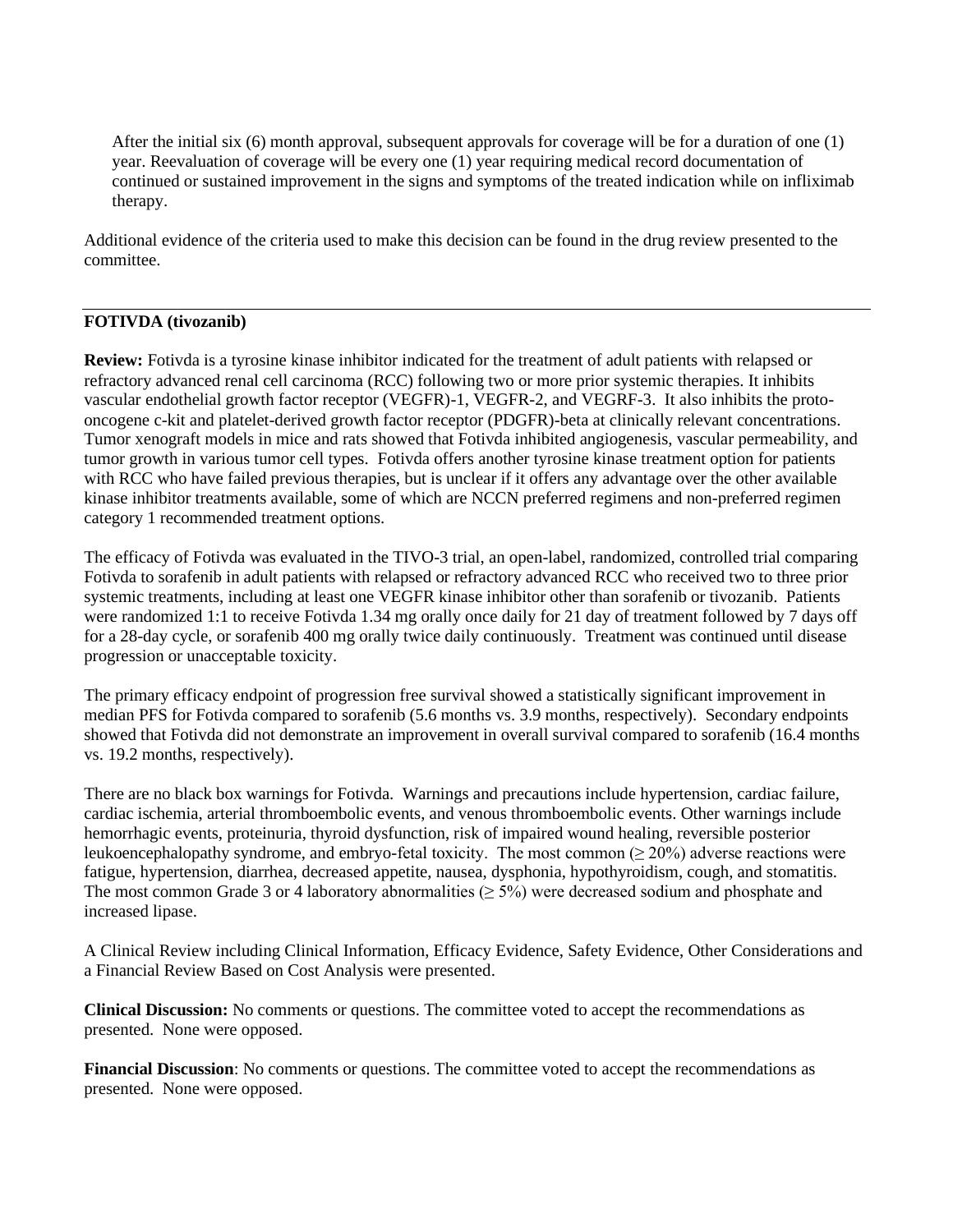After the initial six  $(6)$  month approval, subsequent approvals for coverage will be for a duration of one  $(1)$ year. Reevaluation of coverage will be every one (1) year requiring medical record documentation of continued or sustained improvement in the signs and symptoms of the treated indication while on infliximab therapy.

Additional evidence of the criteria used to make this decision can be found in the drug review presented to the committee.

# **FOTIVDA (tivozanib)**

**Review:** Fotivda is a tyrosine kinase inhibitor indicated for the treatment of adult patients with relapsed or refractory advanced renal cell carcinoma (RCC) following two or more prior systemic therapies. It inhibits vascular endothelial growth factor receptor (VEGFR)-1, VEGFR-2, and VEGRF-3. It also inhibits the protooncogene c-kit and platelet-derived growth factor receptor (PDGFR)-beta at clinically relevant concentrations. Tumor xenograft models in mice and rats showed that Fotivda inhibited angiogenesis, vascular permeability, and tumor growth in various tumor cell types. Fotivda offers another tyrosine kinase treatment option for patients with RCC who have failed previous therapies, but is unclear if it offers any advantage over the other available kinase inhibitor treatments available, some of which are NCCN preferred regimens and non-preferred regimen category 1 recommended treatment options.

The efficacy of Fotivda was evaluated in the TIVO-3 trial, an open-label, randomized, controlled trial comparing Fotivda to sorafenib in adult patients with relapsed or refractory advanced RCC who received two to three prior systemic treatments, including at least one VEGFR kinase inhibitor other than sorafenib or tivozanib. Patients were randomized 1:1 to receive Fotivda 1.34 mg orally once daily for 21 day of treatment followed by 7 days off for a 28-day cycle, or sorafenib 400 mg orally twice daily continuously. Treatment was continued until disease progression or unacceptable toxicity.

The primary efficacy endpoint of progression free survival showed a statistically significant improvement in median PFS for Fotivda compared to sorafenib (5.6 months vs. 3.9 months, respectively). Secondary endpoints showed that Fotivda did not demonstrate an improvement in overall survival compared to sorafenib (16.4 months vs. 19.2 months, respectively).

There are no black box warnings for Fotivda. Warnings and precautions include hypertension, cardiac failure, cardiac ischemia, arterial thromboembolic events, and venous thromboembolic events. Other warnings include hemorrhagic events, proteinuria, thyroid dysfunction, risk of impaired wound healing, reversible posterior leukoencephalopathy syndrome, and embryo-fetal toxicity. The most common  $(\geq 20\%)$  adverse reactions were fatigue, hypertension, diarrhea, decreased appetite, nausea, dysphonia, hypothyroidism, cough, and stomatitis. The most common Grade 3 or 4 laboratory abnormalities ( $\geq$  5%) were decreased sodium and phosphate and increased lipase.

A Clinical Review including Clinical Information, Efficacy Evidence, Safety Evidence, Other Considerations and a Financial Review Based on Cost Analysis were presented.

**Clinical Discussion:** No comments or questions. The committee voted to accept the recommendations as presented. None were opposed.

**Financial Discussion**: No comments or questions. The committee voted to accept the recommendations as presented. None were opposed.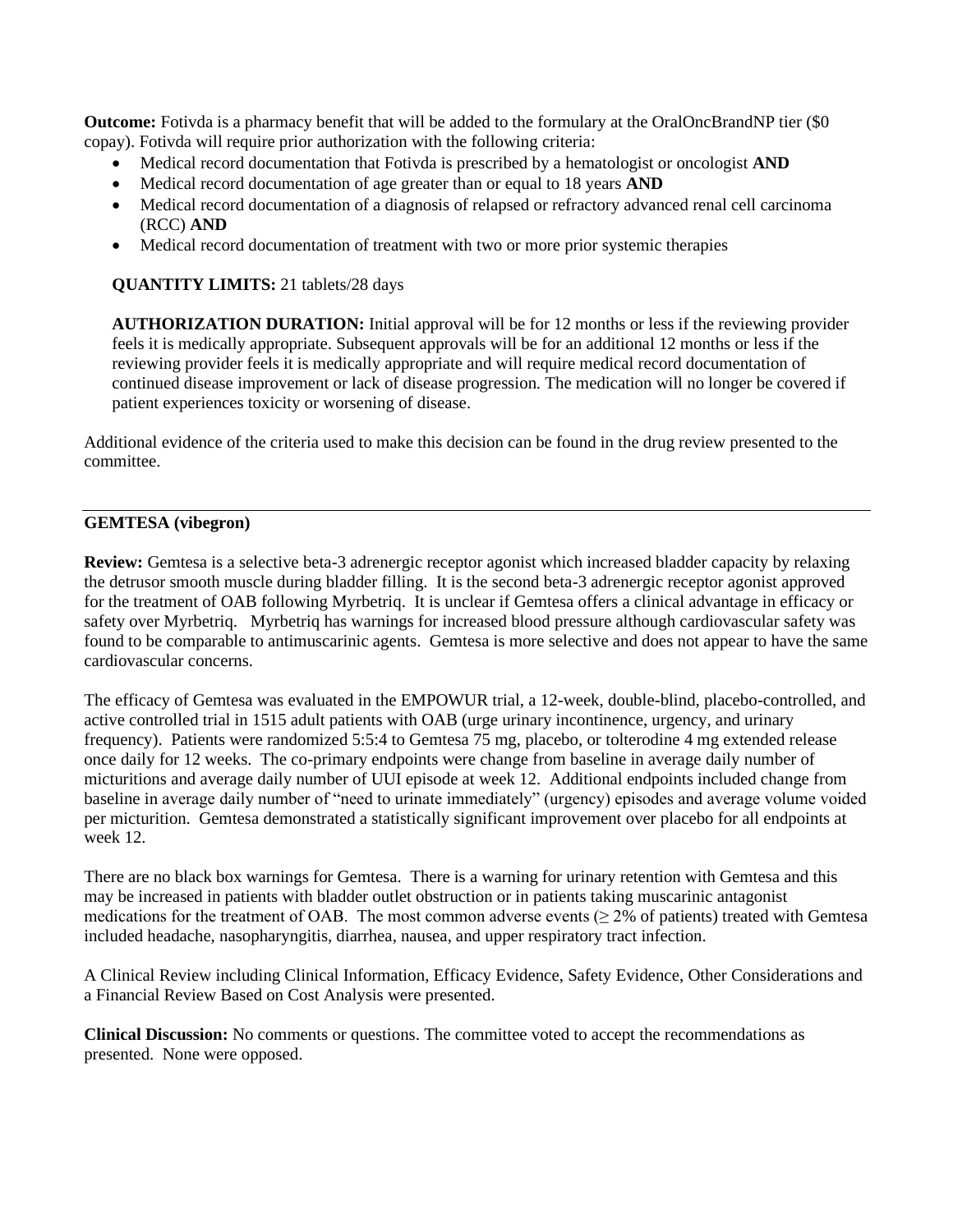**Outcome:** Fotivda is a pharmacy benefit that will be added to the formulary at the OralOncBrandNP tier (\$0 copay). Fotivda will require prior authorization with the following criteria:

- Medical record documentation that Fotivda is prescribed by a hematologist or oncologist **AND**
- Medical record documentation of age greater than or equal to 18 years **AND**
- Medical record documentation of a diagnosis of relapsed or refractory advanced renal cell carcinoma (RCC) **AND**
- Medical record documentation of treatment with two or more prior systemic therapies

#### **QUANTITY LIMITS:** 21 tablets/28 days

**AUTHORIZATION DURATION:** Initial approval will be for 12 months or less if the reviewing provider feels it is medically appropriate. Subsequent approvals will be for an additional 12 months or less if the reviewing provider feels it is medically appropriate and will require medical record documentation of continued disease improvement or lack of disease progression. The medication will no longer be covered if patient experiences toxicity or worsening of disease.

Additional evidence of the criteria used to make this decision can be found in the drug review presented to the committee.

### **GEMTESA (vibegron)**

**Review:** Gemtesa is a selective beta-3 adrenergic receptor agonist which increased bladder capacity by relaxing the detrusor smooth muscle during bladder filling. It is the second beta-3 adrenergic receptor agonist approved for the treatment of OAB following Myrbetriq. It is unclear if Gemtesa offers a clinical advantage in efficacy or safety over Myrbetriq. Myrbetriq has warnings for increased blood pressure although cardiovascular safety was found to be comparable to antimuscarinic agents. Gemtesa is more selective and does not appear to have the same cardiovascular concerns.

The efficacy of Gemtesa was evaluated in the EMPOWUR trial, a 12-week, double-blind, placebo-controlled, and active controlled trial in 1515 adult patients with OAB (urge urinary incontinence, urgency, and urinary frequency). Patients were randomized 5:5:4 to Gemtesa 75 mg, placebo, or tolterodine 4 mg extended release once daily for 12 weeks. The co-primary endpoints were change from baseline in average daily number of micturitions and average daily number of UUI episode at week 12. Additional endpoints included change from baseline in average daily number of "need to urinate immediately" (urgency) episodes and average volume voided per micturition. Gemtesa demonstrated a statistically significant improvement over placebo for all endpoints at week 12.

There are no black box warnings for Gemtesa. There is a warning for urinary retention with Gemtesa and this may be increased in patients with bladder outlet obstruction or in patients taking muscarinic antagonist medications for the treatment of OAB. The most common adverse events  $(≥ 2%$  of patients) treated with Gemtesa included headache, nasopharyngitis, diarrhea, nausea, and upper respiratory tract infection.

A Clinical Review including Clinical Information, Efficacy Evidence, Safety Evidence, Other Considerations and a Financial Review Based on Cost Analysis were presented.

**Clinical Discussion:** No comments or questions. The committee voted to accept the recommendations as presented. None were opposed.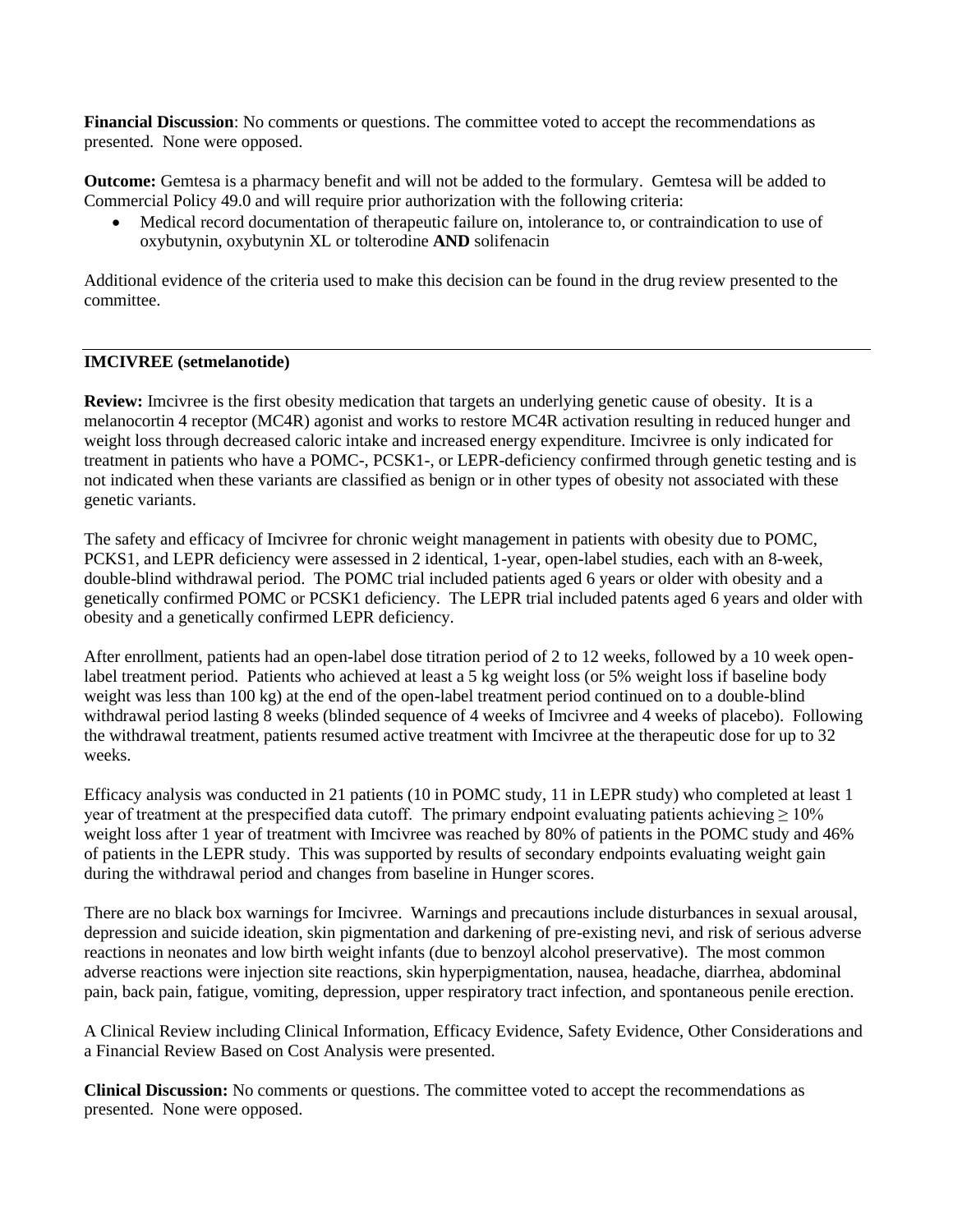**Financial Discussion**: No comments or questions. The committee voted to accept the recommendations as presented. None were opposed.

**Outcome:** Gemtesa is a pharmacy benefit and will not be added to the formulary. Gemtesa will be added to Commercial Policy 49.0 and will require prior authorization with the following criteria:

• Medical record documentation of therapeutic failure on, intolerance to, or contraindication to use of oxybutynin, oxybutynin XL or tolterodine **AND** solifenacin

Additional evidence of the criteria used to make this decision can be found in the drug review presented to the committee.

#### **IMCIVREE (setmelanotide)**

**Review:** Imcivree is the first obesity medication that targets an underlying genetic cause of obesity. It is a melanocortin 4 receptor (MC4R) agonist and works to restore MC4R activation resulting in reduced hunger and weight loss through decreased caloric intake and increased energy expenditure. Imcivree is only indicated for treatment in patients who have a POMC-, PCSK1-, or LEPR-deficiency confirmed through genetic testing and is not indicated when these variants are classified as benign or in other types of obesity not associated with these genetic variants.

The safety and efficacy of Imcivree for chronic weight management in patients with obesity due to POMC, PCKS1, and LEPR deficiency were assessed in 2 identical, 1-year, open-label studies, each with an 8-week, double-blind withdrawal period. The POMC trial included patients aged 6 years or older with obesity and a genetically confirmed POMC or PCSK1 deficiency. The LEPR trial included patents aged 6 years and older with obesity and a genetically confirmed LEPR deficiency.

After enrollment, patients had an open-label dose titration period of 2 to 12 weeks, followed by a 10 week openlabel treatment period. Patients who achieved at least a 5 kg weight loss (or 5% weight loss if baseline body weight was less than 100 kg) at the end of the open-label treatment period continued on to a double-blind withdrawal period lasting 8 weeks (blinded sequence of 4 weeks of Imcivree and 4 weeks of placebo). Following the withdrawal treatment, patients resumed active treatment with Imcivree at the therapeutic dose for up to 32 weeks.

Efficacy analysis was conducted in 21 patients (10 in POMC study, 11 in LEPR study) who completed at least 1 year of treatment at the prespecified data cutoff. The primary endpoint evaluating patients achieving  $\geq 10\%$ weight loss after 1 year of treatment with Imcivree was reached by 80% of patients in the POMC study and 46% of patients in the LEPR study. This was supported by results of secondary endpoints evaluating weight gain during the withdrawal period and changes from baseline in Hunger scores.

There are no black box warnings for Imcivree. Warnings and precautions include disturbances in sexual arousal, depression and suicide ideation, skin pigmentation and darkening of pre-existing nevi, and risk of serious adverse reactions in neonates and low birth weight infants (due to benzoyl alcohol preservative). The most common adverse reactions were injection site reactions, skin hyperpigmentation, nausea, headache, diarrhea, abdominal pain, back pain, fatigue, vomiting, depression, upper respiratory tract infection, and spontaneous penile erection.

A Clinical Review including Clinical Information, Efficacy Evidence, Safety Evidence, Other Considerations and a Financial Review Based on Cost Analysis were presented.

**Clinical Discussion:** No comments or questions. The committee voted to accept the recommendations as presented. None were opposed.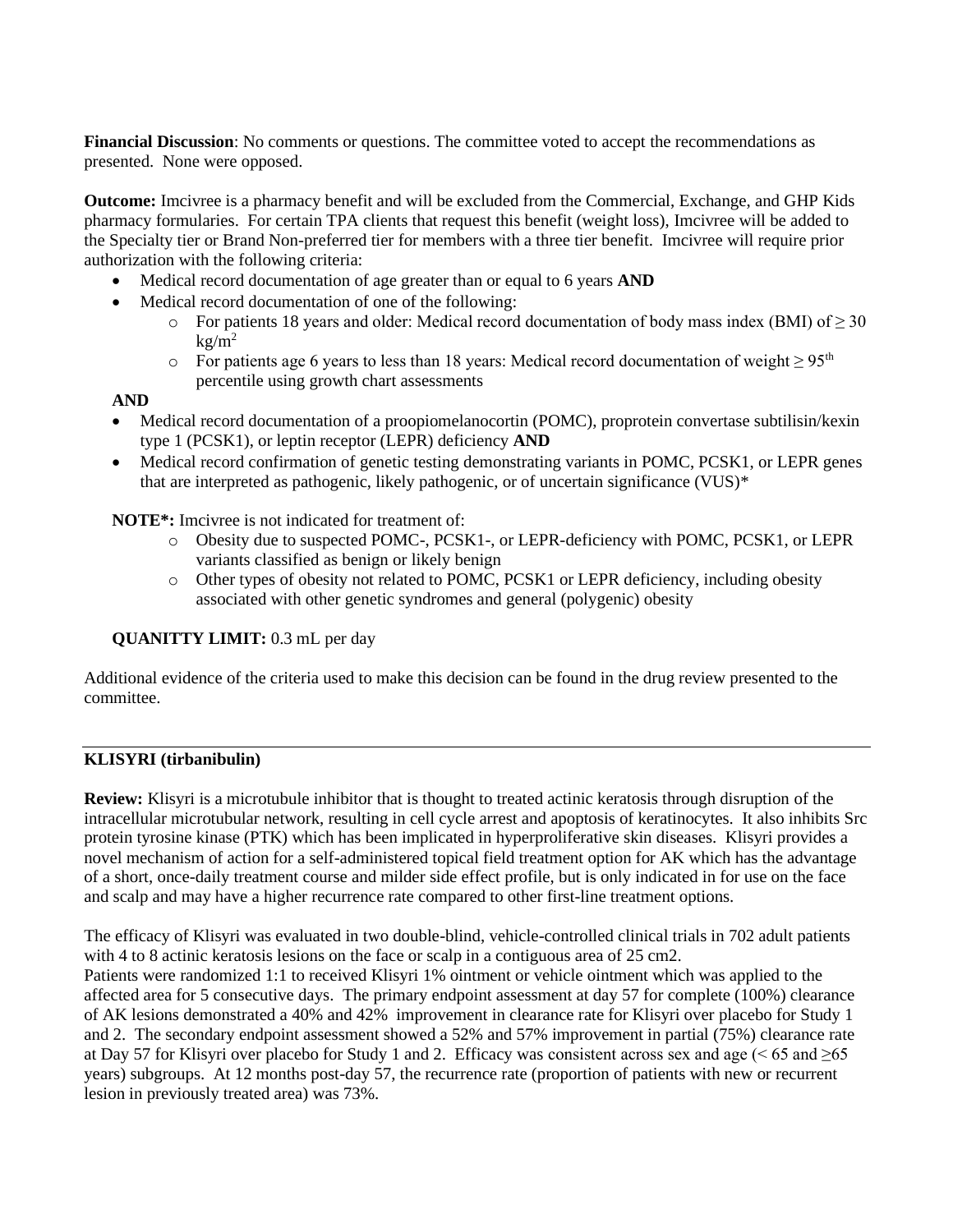**Financial Discussion**: No comments or questions. The committee voted to accept the recommendations as presented. None were opposed.

**Outcome:** Imcivree is a pharmacy benefit and will be excluded from the Commercial, Exchange, and GHP Kids pharmacy formularies. For certain TPA clients that request this benefit (weight loss), Imcivree will be added to the Specialty tier or Brand Non-preferred tier for members with a three tier benefit. Imcivree will require prior authorization with the following criteria:

- Medical record documentation of age greater than or equal to 6 years **AND**
- Medical record documentation of one of the following:
	- $\circ$  For patients 18 years and older: Medical record documentation of body mass index (BMI) of  $\geq$  30  $k\text{g/m}^2$
	- o For patients age 6 years to less than 18 years: Medical record documentation of weight  $\geq 95<sup>th</sup>$ percentile using growth chart assessments

### **AND**

- Medical record documentation of a proopiomelanocortin (POMC), proprotein convertase subtilisin/kexin type 1 (PCSK1), or leptin receptor (LEPR) deficiency **AND**
- Medical record confirmation of genetic testing demonstrating variants in POMC, PCSK1, or LEPR genes that are interpreted as pathogenic, likely pathogenic, or of uncertain significance (VUS)\*

#### **NOTE\*:** Imcivree is not indicated for treatment of:

- o Obesity due to suspected POMC-, PCSK1-, or LEPR-deficiency with POMC, PCSK1, or LEPR variants classified as benign or likely benign
- o Other types of obesity not related to POMC, PCSK1 or LEPR deficiency, including obesity associated with other genetic syndromes and general (polygenic) obesity

**QUANITTY LIMIT:** 0.3 mL per day

Additional evidence of the criteria used to make this decision can be found in the drug review presented to the committee.

#### **KLISYRI (tirbanibulin)**

**Review:** Klisyri is a microtubule inhibitor that is thought to treated actinic keratosis through disruption of the intracellular microtubular network, resulting in cell cycle arrest and apoptosis of keratinocytes. It also inhibits Src protein tyrosine kinase (PTK) which has been implicated in hyperproliferative skin diseases. Klisyri provides a novel mechanism of action for a self-administered topical field treatment option for AK which has the advantage of a short, once-daily treatment course and milder side effect profile, but is only indicated in for use on the face and scalp and may have a higher recurrence rate compared to other first-line treatment options.

The efficacy of Klisyri was evaluated in two double-blind, vehicle-controlled clinical trials in 702 adult patients with 4 to 8 actinic keratosis lesions on the face or scalp in a contiguous area of 25 cm2. Patients were randomized 1:1 to received Klisyri 1% ointment or vehicle ointment which was applied to the affected area for 5 consecutive days. The primary endpoint assessment at day 57 for complete (100%) clearance of AK lesions demonstrated a 40% and 42% improvement in clearance rate for Klisyri over placebo for Study 1 and 2. The secondary endpoint assessment showed a 52% and 57% improvement in partial (75%) clearance rate at Day 57 for Klisyri over placebo for Study 1 and 2. Efficacy was consistent across sex and age ( $\leq 65$  and  $\geq 65$ ) years) subgroups. At 12 months post-day 57, the recurrence rate (proportion of patients with new or recurrent lesion in previously treated area) was 73%.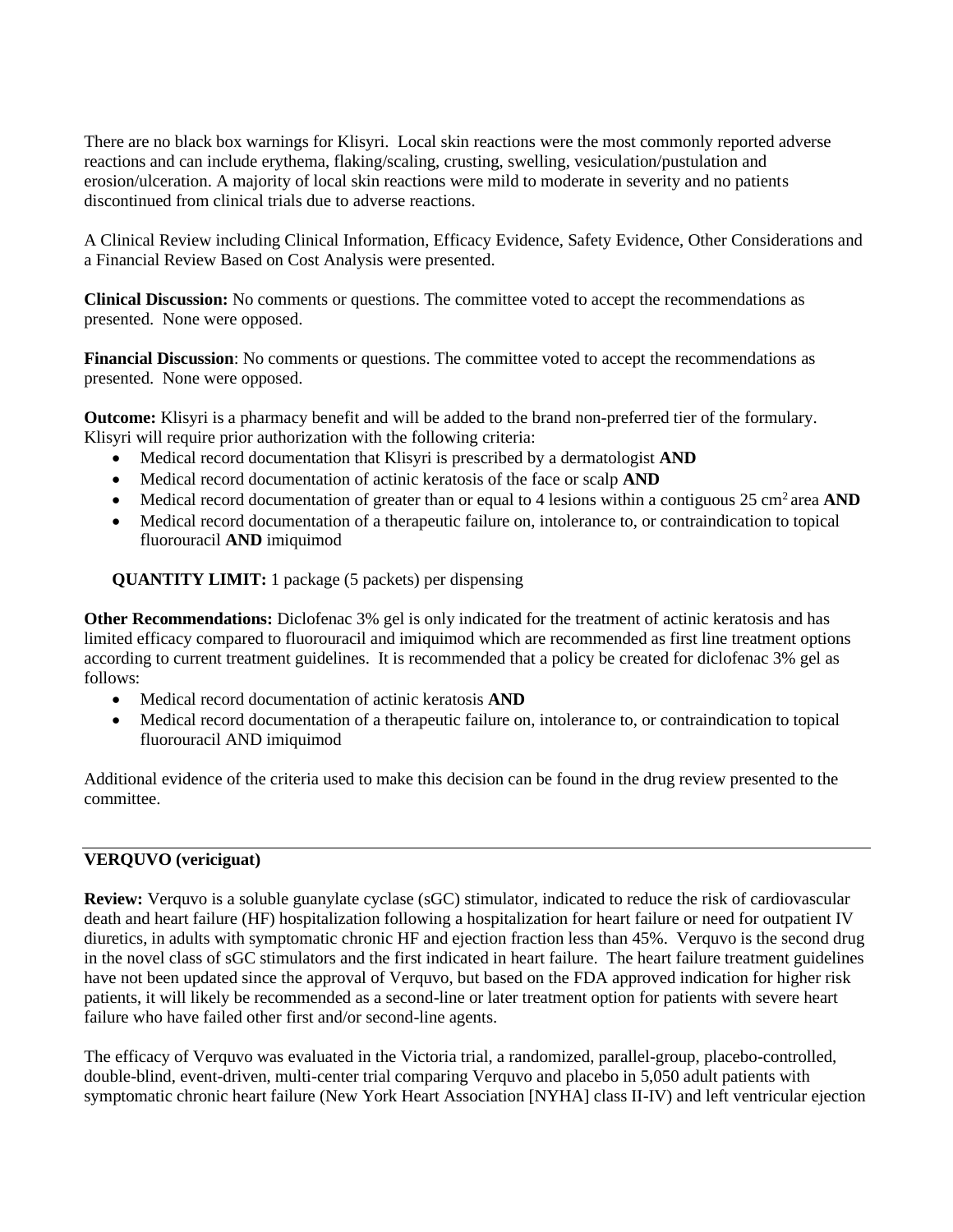There are no black box warnings for Klisyri. Local skin reactions were the most commonly reported adverse reactions and can include erythema, flaking/scaling, crusting, swelling, vesiculation/pustulation and erosion/ulceration. A majority of local skin reactions were mild to moderate in severity and no patients discontinued from clinical trials due to adverse reactions.

A Clinical Review including Clinical Information, Efficacy Evidence, Safety Evidence, Other Considerations and a Financial Review Based on Cost Analysis were presented.

**Clinical Discussion:** No comments or questions. The committee voted to accept the recommendations as presented. None were opposed.

**Financial Discussion**: No comments or questions. The committee voted to accept the recommendations as presented. None were opposed.

**Outcome:** Klisyri is a pharmacy benefit and will be added to the brand non-preferred tier of the formulary. Klisyri will require prior authorization with the following criteria:

- Medical record documentation that Klisyri is prescribed by a dermatologist **AND**
- Medical record documentation of actinic keratosis of the face or scalp **AND**
- Medical record documentation of greater than or equal to 4 lesions within a contiguous 25 cm<sup>2</sup> area **AND**
- Medical record documentation of a therapeutic failure on, intolerance to, or contraindication to topical fluorouracil **AND** imiquimod

**QUANTITY LIMIT:** 1 package (5 packets) per dispensing

**Other Recommendations:** Diclofenac 3% gel is only indicated for the treatment of actinic keratosis and has limited efficacy compared to fluorouracil and imiquimod which are recommended as first line treatment options according to current treatment guidelines. It is recommended that a policy be created for diclofenac 3% gel as follows:

- Medical record documentation of actinic keratosis **AND**
- Medical record documentation of a therapeutic failure on, intolerance to, or contraindication to topical fluorouracil AND imiquimod

Additional evidence of the criteria used to make this decision can be found in the drug review presented to the committee.

# **VERQUVO (vericiguat)**

**Review:** Verquvo is a soluble guanylate cyclase (sGC) stimulator, indicated to reduce the risk of cardiovascular death and heart failure (HF) hospitalization following a hospitalization for heart failure or need for outpatient IV diuretics, in adults with symptomatic chronic HF and ejection fraction less than 45%. Verquvo is the second drug in the novel class of sGC stimulators and the first indicated in heart failure. The heart failure treatment guidelines have not been updated since the approval of Verquvo, but based on the FDA approved indication for higher risk patients, it will likely be recommended as a second-line or later treatment option for patients with severe heart failure who have failed other first and/or second-line agents.

The efficacy of Verquvo was evaluated in the Victoria trial, a randomized, parallel-group, placebo-controlled, double-blind, event-driven, multi-center trial comparing Verquvo and placebo in 5,050 adult patients with symptomatic chronic heart failure (New York Heart Association [NYHA] class II-IV) and left ventricular ejection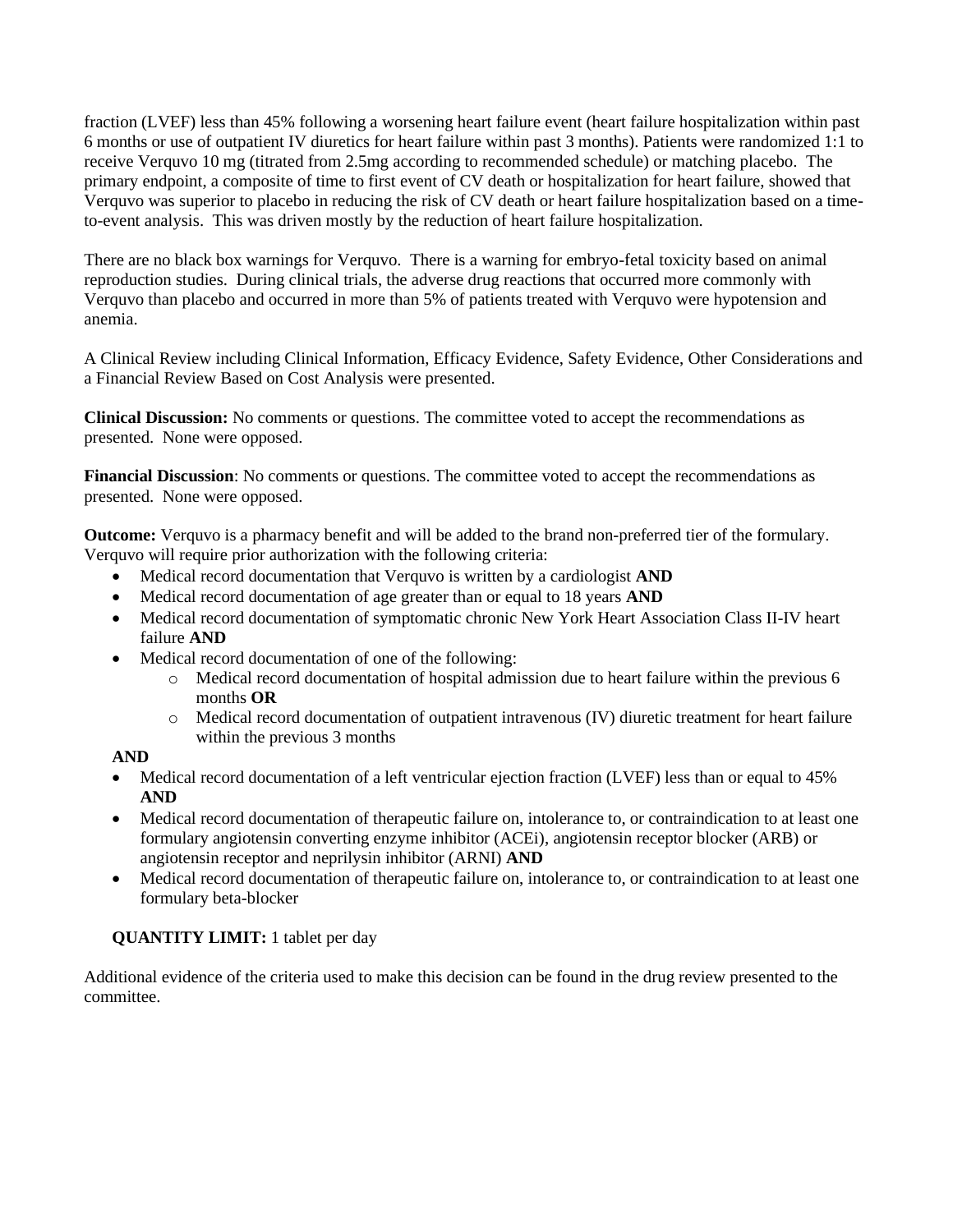fraction (LVEF) less than 45% following a worsening heart failure event (heart failure hospitalization within past 6 months or use of outpatient IV diuretics for heart failure within past 3 months). Patients were randomized 1:1 to receive Verquvo 10 mg (titrated from 2.5mg according to recommended schedule) or matching placebo. The primary endpoint, a composite of time to first event of CV death or hospitalization for heart failure, showed that Verquvo was superior to placebo in reducing the risk of CV death or heart failure hospitalization based on a timeto-event analysis. This was driven mostly by the reduction of heart failure hospitalization.

There are no black box warnings for Verquvo. There is a warning for embryo-fetal toxicity based on animal reproduction studies. During clinical trials, the adverse drug reactions that occurred more commonly with Verquvo than placebo and occurred in more than 5% of patients treated with Verquvo were hypotension and anemia.

A Clinical Review including Clinical Information, Efficacy Evidence, Safety Evidence, Other Considerations and a Financial Review Based on Cost Analysis were presented.

**Clinical Discussion:** No comments or questions. The committee voted to accept the recommendations as presented. None were opposed.

**Financial Discussion**: No comments or questions. The committee voted to accept the recommendations as presented. None were opposed.

**Outcome:** Verquvo is a pharmacy benefit and will be added to the brand non-preferred tier of the formulary. Verquvo will require prior authorization with the following criteria:

- Medical record documentation that Verquvo is written by a cardiologist **AND**
- Medical record documentation of age greater than or equal to 18 years **AND**
- Medical record documentation of symptomatic chronic New York Heart Association Class II-IV heart failure **AND**
- Medical record documentation of one of the following:
	- o Medical record documentation of hospital admission due to heart failure within the previous 6 months **OR**
	- o Medical record documentation of outpatient intravenous (IV) diuretic treatment for heart failure within the previous 3 months

### **AND**

- Medical record documentation of a left ventricular ejection fraction (LVEF) less than or equal to 45% **AND**
- Medical record documentation of therapeutic failure on, intolerance to, or contraindication to at least one formulary angiotensin converting enzyme inhibitor (ACEi), angiotensin receptor blocker (ARB) or angiotensin receptor and neprilysin inhibitor (ARNI) **AND**
- Medical record documentation of therapeutic failure on, intolerance to, or contraindication to at least one formulary beta-blocker

# **QUANTITY LIMIT:** 1 tablet per day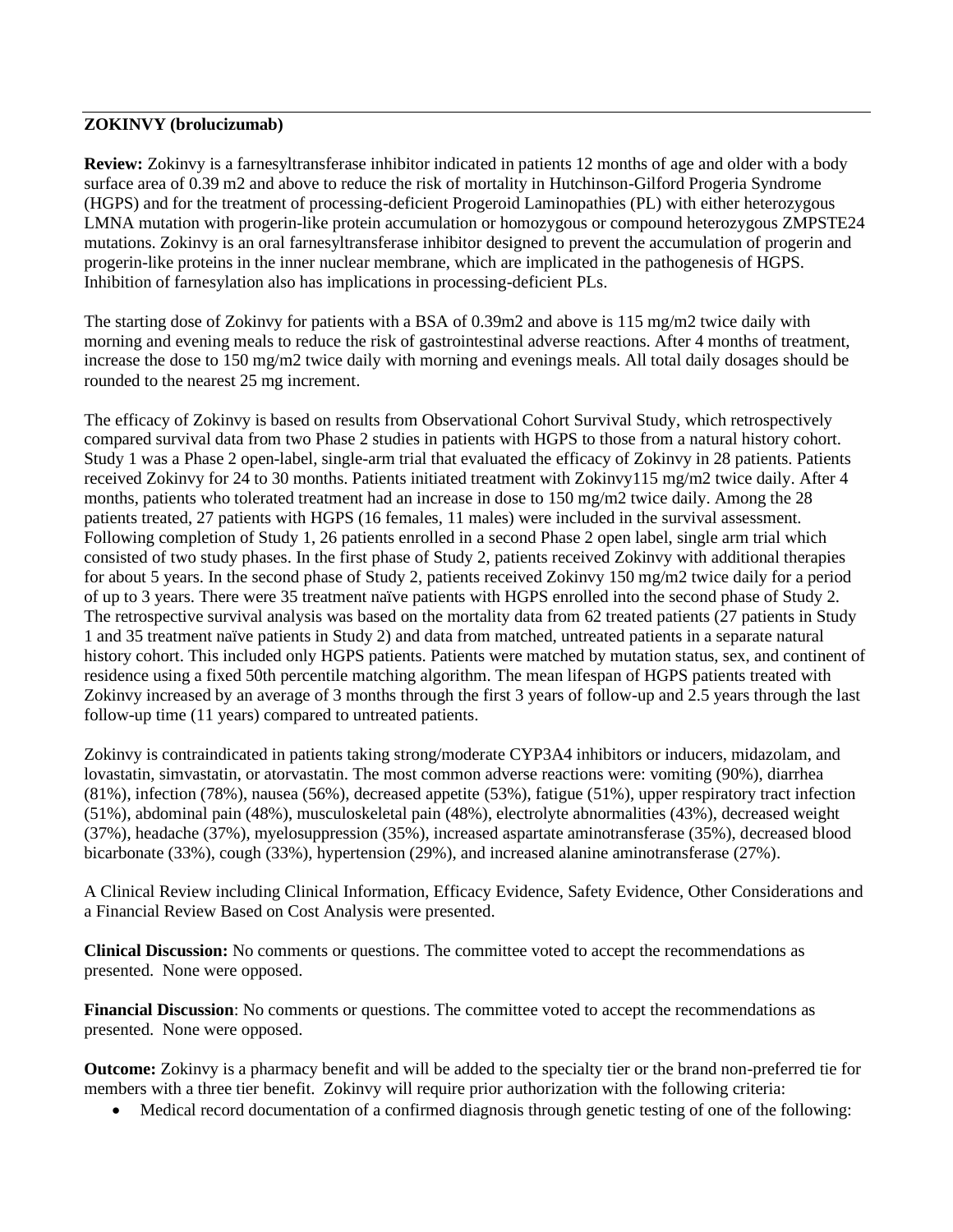## **ZOKINVY (brolucizumab)**

**Review:** Zokinvy is a farnesyltransferase inhibitor indicated in patients 12 months of age and older with a body surface area of 0.39 m2 and above to reduce the risk of mortality in Hutchinson-Gilford Progeria Syndrome (HGPS) and for the treatment of processing-deficient Progeroid Laminopathies (PL) with either heterozygous LMNA mutation with progerin-like protein accumulation or homozygous or compound heterozygous ZMPSTE24 mutations. Zokinvy is an oral farnesyltransferase inhibitor designed to prevent the accumulation of progerin and progerin-like proteins in the inner nuclear membrane, which are implicated in the pathogenesis of HGPS. Inhibition of farnesylation also has implications in processing-deficient PLs.

The starting dose of Zokinvy for patients with a BSA of 0.39m2 and above is 115 mg/m2 twice daily with morning and evening meals to reduce the risk of gastrointestinal adverse reactions. After 4 months of treatment, increase the dose to 150 mg/m2 twice daily with morning and evenings meals. All total daily dosages should be rounded to the nearest 25 mg increment.

The efficacy of Zokinvy is based on results from Observational Cohort Survival Study, which retrospectively compared survival data from two Phase 2 studies in patients with HGPS to those from a natural history cohort. Study 1 was a Phase 2 open-label, single-arm trial that evaluated the efficacy of Zokinvy in 28 patients. Patients received Zokinvy for 24 to 30 months. Patients initiated treatment with Zokinvy115 mg/m2 twice daily. After 4 months, patients who tolerated treatment had an increase in dose to 150 mg/m2 twice daily. Among the 28 patients treated, 27 patients with HGPS (16 females, 11 males) were included in the survival assessment. Following completion of Study 1, 26 patients enrolled in a second Phase 2 open label, single arm trial which consisted of two study phases. In the first phase of Study 2, patients received Zokinvy with additional therapies for about 5 years. In the second phase of Study 2, patients received Zokinvy 150 mg/m2 twice daily for a period of up to 3 years. There were 35 treatment naïve patients with HGPS enrolled into the second phase of Study 2. The retrospective survival analysis was based on the mortality data from 62 treated patients (27 patients in Study 1 and 35 treatment naïve patients in Study 2) and data from matched, untreated patients in a separate natural history cohort. This included only HGPS patients. Patients were matched by mutation status, sex, and continent of residence using a fixed 50th percentile matching algorithm. The mean lifespan of HGPS patients treated with Zokinvy increased by an average of 3 months through the first 3 years of follow-up and 2.5 years through the last follow-up time (11 years) compared to untreated patients.

Zokinvy is contraindicated in patients taking strong/moderate CYP3A4 inhibitors or inducers, midazolam, and lovastatin, simvastatin, or atorvastatin. The most common adverse reactions were: vomiting (90%), diarrhea (81%), infection (78%), nausea (56%), decreased appetite (53%), fatigue (51%), upper respiratory tract infection (51%), abdominal pain (48%), musculoskeletal pain (48%), electrolyte abnormalities (43%), decreased weight (37%), headache (37%), myelosuppression (35%), increased aspartate aminotransferase (35%), decreased blood bicarbonate (33%), cough (33%), hypertension (29%), and increased alanine aminotransferase (27%).

A Clinical Review including Clinical Information, Efficacy Evidence, Safety Evidence, Other Considerations and a Financial Review Based on Cost Analysis were presented.

**Clinical Discussion:** No comments or questions. The committee voted to accept the recommendations as presented. None were opposed.

**Financial Discussion**: No comments or questions. The committee voted to accept the recommendations as presented. None were opposed.

**Outcome:** Zokinvy is a pharmacy benefit and will be added to the specialty tier or the brand non-preferred tie for members with a three tier benefit. Zokinvy will require prior authorization with the following criteria:

• Medical record documentation of a confirmed diagnosis through genetic testing of one of the following: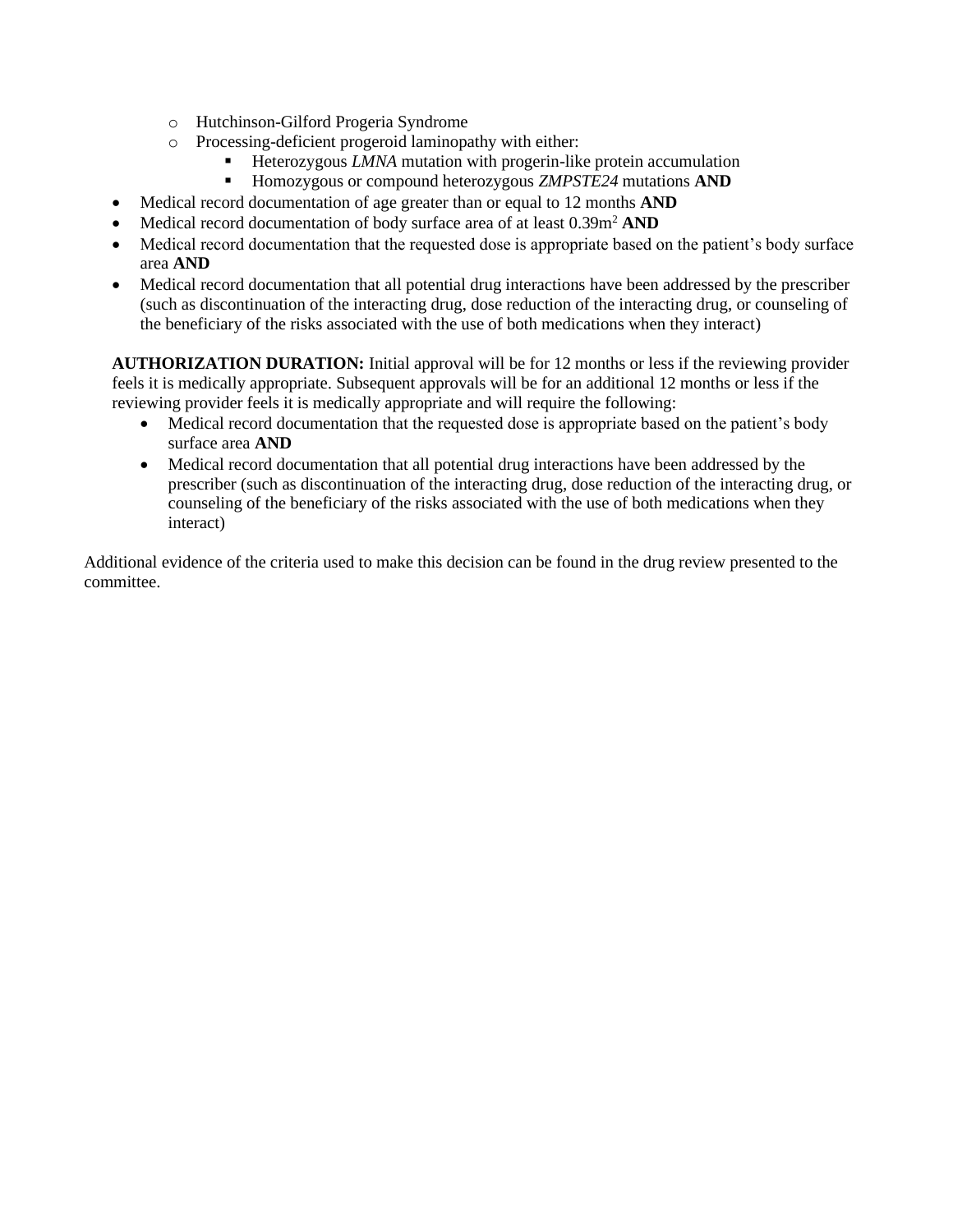- o Hutchinson-Gilford Progeria Syndrome
- o Processing-deficient progeroid laminopathy with either:
	- Heterozygous *LMNA* mutation with progerin-like protein accumulation
	- Homozygous or compound heterozygous *ZMPSTE24* mutations **AND**
- Medical record documentation of age greater than or equal to 12 months **AND**
- Medical record documentation of body surface area of at least  $0.39m^2$  AND
- Medical record documentation that the requested dose is appropriate based on the patient's body surface area **AND**
- Medical record documentation that all potential drug interactions have been addressed by the prescriber (such as discontinuation of the interacting drug, dose reduction of the interacting drug, or counseling of the beneficiary of the risks associated with the use of both medications when they interact)

**AUTHORIZATION DURATION:** Initial approval will be for 12 months or less if the reviewing provider feels it is medically appropriate. Subsequent approvals will be for an additional 12 months or less if the reviewing provider feels it is medically appropriate and will require the following:

- Medical record documentation that the requested dose is appropriate based on the patient's body surface area **AND**
- Medical record documentation that all potential drug interactions have been addressed by the prescriber (such as discontinuation of the interacting drug, dose reduction of the interacting drug, or counseling of the beneficiary of the risks associated with the use of both medications when they interact)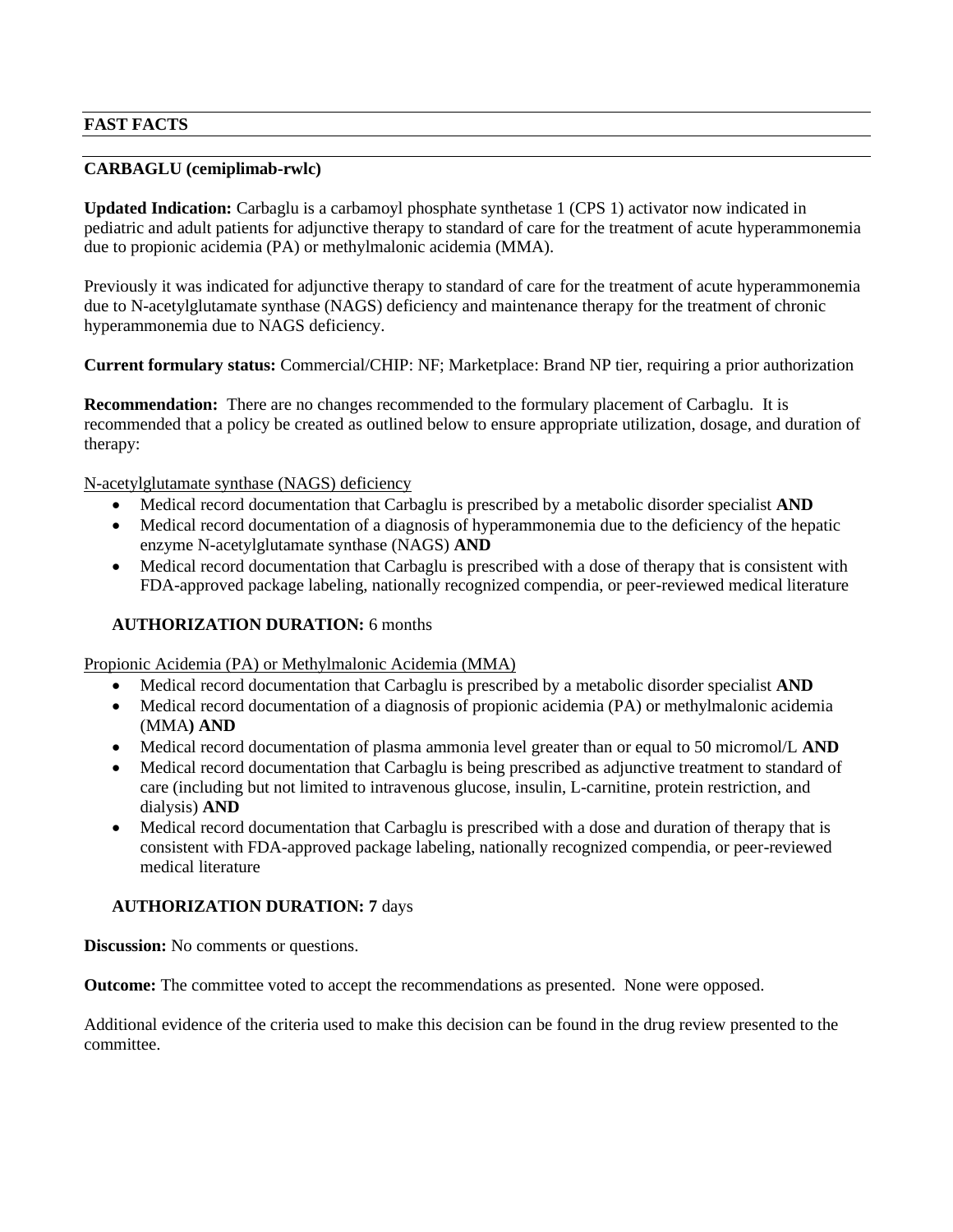# **FAST FACTS**

## **CARBAGLU (cemiplimab-rwlc)**

**Updated Indication:** Carbaglu is a carbamoyl phosphate synthetase 1 (CPS 1) activator now indicated in pediatric and adult patients for adjunctive therapy to standard of care for the treatment of acute hyperammonemia due to propionic acidemia (PA) or methylmalonic acidemia (MMA).

Previously it was indicated for adjunctive therapy to standard of care for the treatment of acute hyperammonemia due to N-acetylglutamate synthase (NAGS) deficiency and maintenance therapy for the treatment of chronic hyperammonemia due to NAGS deficiency.

**Current formulary status:** Commercial/CHIP: NF; Marketplace: Brand NP tier, requiring a prior authorization

**Recommendation:** There are no changes recommended to the formulary placement of Carbaglu. It is recommended that a policy be created as outlined below to ensure appropriate utilization, dosage, and duration of therapy:

N-acetylglutamate synthase (NAGS) deficiency

- Medical record documentation that Carbaglu is prescribed by a metabolic disorder specialist **AND**
- Medical record documentation of a diagnosis of hyperammonemia due to the deficiency of the hepatic enzyme N-acetylglutamate synthase (NAGS) **AND**
- Medical record documentation that Carbaglu is prescribed with a dose of therapy that is consistent with FDA-approved package labeling, nationally recognized compendia, or peer-reviewed medical literature

## **AUTHORIZATION DURATION:** 6 months

Propionic Acidemia (PA) or Methylmalonic Acidemia (MMA)

- Medical record documentation that Carbaglu is prescribed by a metabolic disorder specialist **AND**
- Medical record documentation of a diagnosis of propionic acidemia (PA) or methylmalonic acidemia (MMA**) AND**
- Medical record documentation of plasma ammonia level greater than or equal to 50 micromol/L **AND**
- Medical record documentation that Carbaglu is being prescribed as adjunctive treatment to standard of care (including but not limited to intravenous glucose, insulin, L-carnitine, protein restriction, and dialysis) **AND**
- Medical record documentation that Carbaglu is prescribed with a dose and duration of therapy that is consistent with FDA-approved package labeling, nationally recognized compendia, or peer-reviewed medical literature

### **AUTHORIZATION DURATION: 7** days

**Discussion:** No comments or questions.

**Outcome:** The committee voted to accept the recommendations as presented. None were opposed.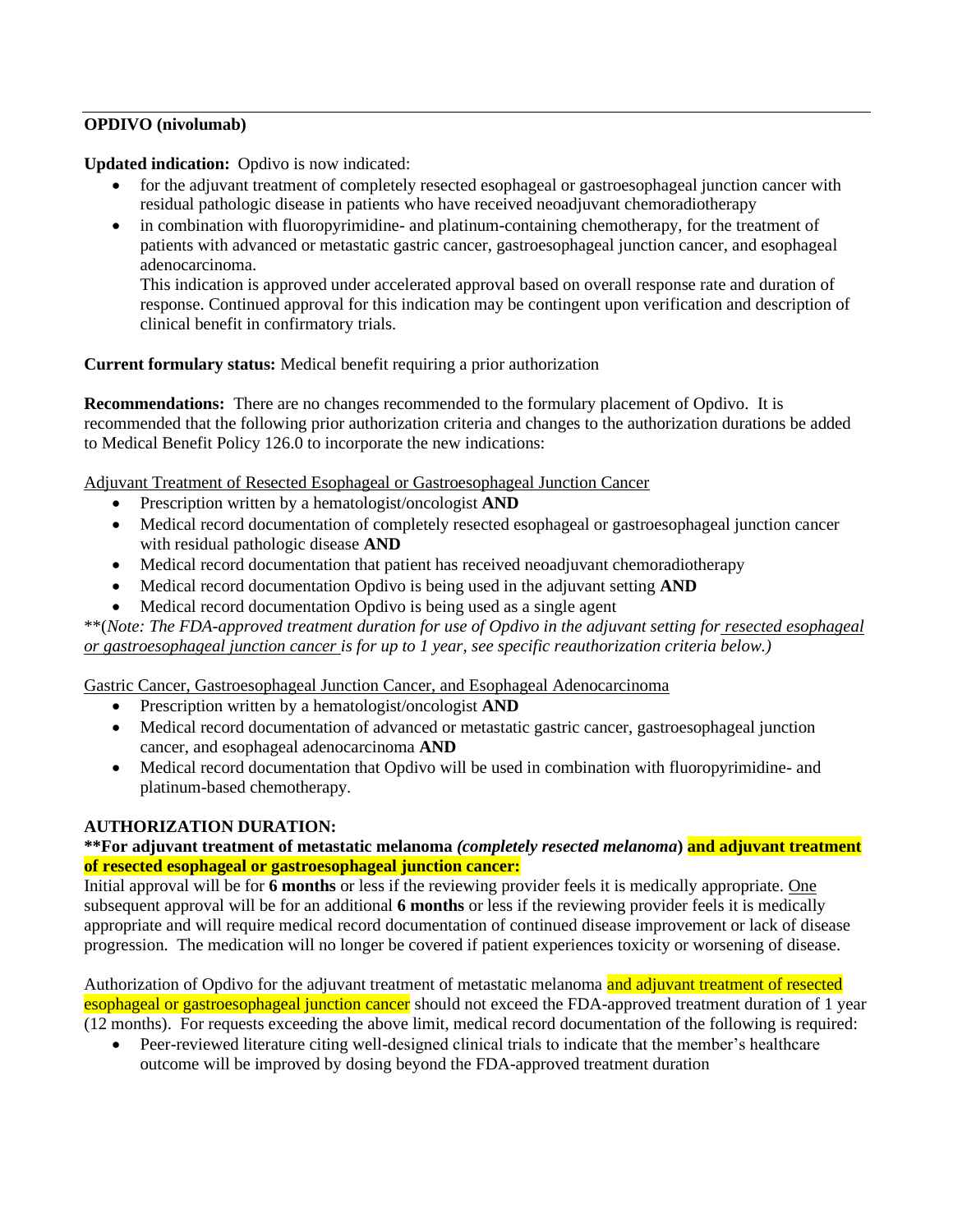# **OPDIVO (nivolumab)**

**Updated indication:** Opdivo is now indicated:

- for the adjuvant treatment of completely resected esophageal or gastroesophageal junction cancer with residual pathologic disease in patients who have received neoadjuvant chemoradiotherapy
- in combination with fluoropyrimidine- and platinum-containing chemotherapy, for the treatment of patients with advanced or metastatic gastric cancer, gastroesophageal junction cancer, and esophageal adenocarcinoma.

This indication is approved under accelerated approval based on overall response rate and duration of response. Continued approval for this indication may be contingent upon verification and description of clinical benefit in confirmatory trials.

## **Current formulary status:** Medical benefit requiring a prior authorization

**Recommendations:** There are no changes recommended to the formulary placement of Opdivo. It is recommended that the following prior authorization criteria and changes to the authorization durations be added to Medical Benefit Policy 126.0 to incorporate the new indications:

Adjuvant Treatment of Resected Esophageal or Gastroesophageal Junction Cancer

- Prescription written by a hematologist/oncologist **AND**
- Medical record documentation of completely resected esophageal or gastroesophageal junction cancer with residual pathologic disease **AND**
- Medical record documentation that patient has received neoadjuvant chemoradiotherapy
- Medical record documentation Opdivo is being used in the adjuvant setting **AND**
- Medical record documentation Opdivo is being used as a single agent

\*\*(*Note: The FDA-approved treatment duration for use of Opdivo in the adjuvant setting for resected esophageal or gastroesophageal junction cancer is for up to 1 year, see specific reauthorization criteria below.)*

Gastric Cancer, Gastroesophageal Junction Cancer, and Esophageal Adenocarcinoma

- Prescription written by a hematologist/oncologist **AND**
- Medical record documentation of advanced or metastatic gastric cancer, gastroesophageal junction cancer, and esophageal adenocarcinoma **AND**
- Medical record documentation that Opdivo will be used in combination with fluoropyrimidine- and platinum-based chemotherapy.

### **AUTHORIZATION DURATION:**

## **\*\*For adjuvant treatment of metastatic melanoma** *(completely resected melanoma***) and adjuvant treatment of resected esophageal or gastroesophageal junction cancer:**

Initial approval will be for **6 months** or less if the reviewing provider feels it is medically appropriate. One subsequent approval will be for an additional **6 months** or less if the reviewing provider feels it is medically appropriate and will require medical record documentation of continued disease improvement or lack of disease progression. The medication will no longer be covered if patient experiences toxicity or worsening of disease.

Authorization of Opdivo for the adjuvant treatment of metastatic melanoma and adjuvant treatment of resected esophageal or gastroesophageal junction cancer should not exceed the FDA-approved treatment duration of 1 year (12 months). For requests exceeding the above limit, medical record documentation of the following is required:

• Peer-reviewed literature citing well-designed clinical trials to indicate that the member's healthcare outcome will be improved by dosing beyond the FDA-approved treatment duration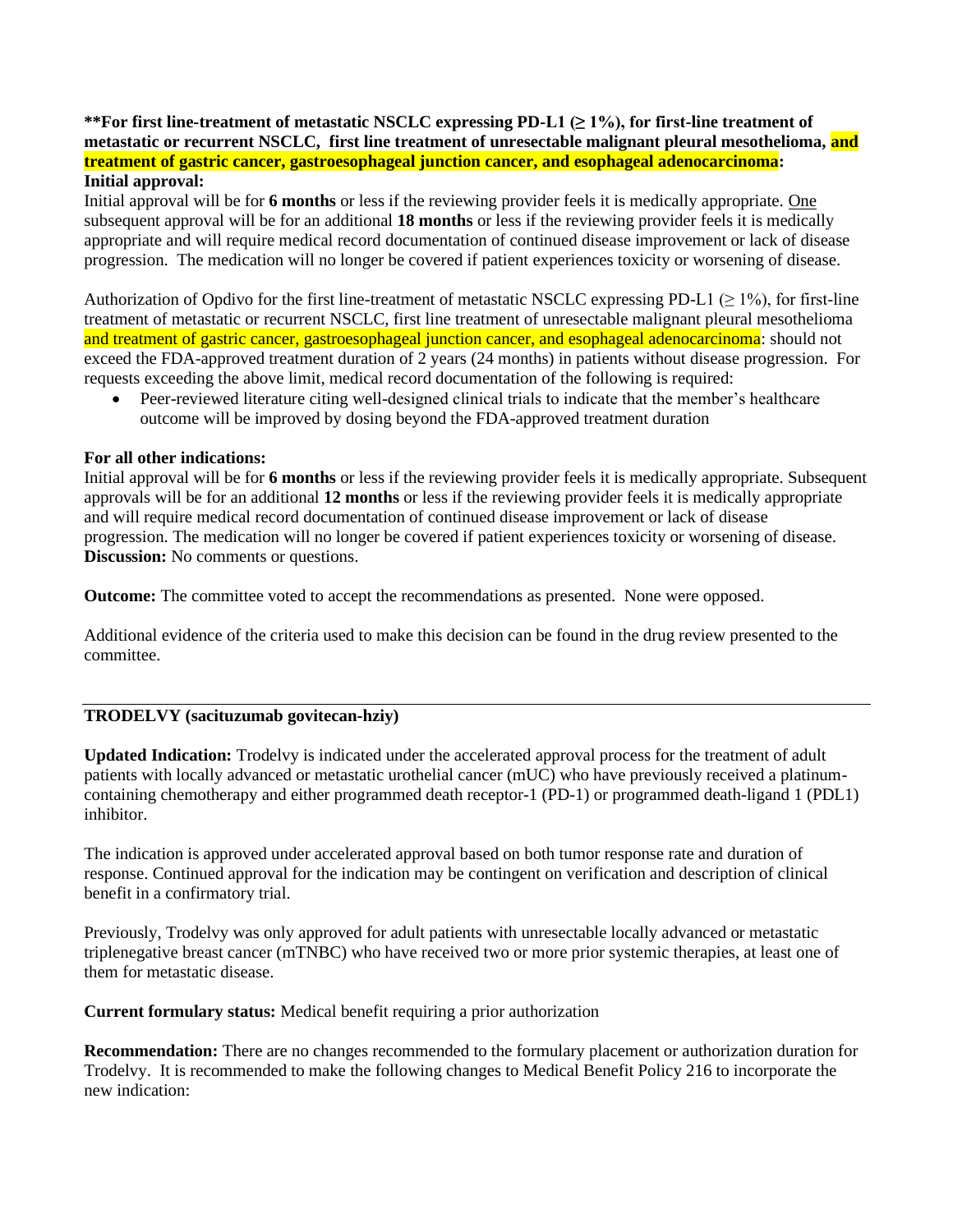### **\*\*For first line-treatment of metastatic NSCLC expressing PD-L1 (≥ 1%), for first-line treatment of metastatic or recurrent NSCLC, first line treatment of unresectable malignant pleural mesothelioma, and treatment of gastric cancer, gastroesophageal junction cancer, and esophageal adenocarcinoma: Initial approval:**

Initial approval will be for **6 months** or less if the reviewing provider feels it is medically appropriate. One subsequent approval will be for an additional **18 months** or less if the reviewing provider feels it is medically appropriate and will require medical record documentation of continued disease improvement or lack of disease progression. The medication will no longer be covered if patient experiences toxicity or worsening of disease.

Authorization of Opdivo for the first line-treatment of metastatic NSCLC expressing PD-L1 ( $\geq$  1%), for first-line treatment of metastatic or recurrent NSCLC, first line treatment of unresectable malignant pleural mesothelioma and treatment of gastric cancer, gastroesophageal junction cancer, and esophageal adenocarcinoma: should not exceed the FDA-approved treatment duration of 2 years (24 months) in patients without disease progression. For requests exceeding the above limit, medical record documentation of the following is required:

• Peer-reviewed literature citing well-designed clinical trials to indicate that the member's healthcare outcome will be improved by dosing beyond the FDA-approved treatment duration

#### **For all other indications:**

Initial approval will be for **6 months** or less if the reviewing provider feels it is medically appropriate. Subsequent approvals will be for an additional **12 months** or less if the reviewing provider feels it is medically appropriate and will require medical record documentation of continued disease improvement or lack of disease progression. The medication will no longer be covered if patient experiences toxicity or worsening of disease. **Discussion:** No comments or questions.

**Outcome:** The committee voted to accept the recommendations as presented. None were opposed.

Additional evidence of the criteria used to make this decision can be found in the drug review presented to the committee.

### **TRODELVY (sacituzumab govitecan-hziy)**

**Updated Indication:** Trodelvy is indicated under the accelerated approval process for the treatment of adult patients with locally advanced or metastatic urothelial cancer (mUC) who have previously received a platinumcontaining chemotherapy and either programmed death receptor-1 (PD-1) or programmed death-ligand 1 (PDL1) inhibitor.

The indication is approved under accelerated approval based on both tumor response rate and duration of response. Continued approval for the indication may be contingent on verification and description of clinical benefit in a confirmatory trial.

Previously, Trodelvy was only approved for adult patients with unresectable locally advanced or metastatic triplenegative breast cancer (mTNBC) who have received two or more prior systemic therapies, at least one of them for metastatic disease.

**Current formulary status:** Medical benefit requiring a prior authorization

**Recommendation:** There are no changes recommended to the formulary placement or authorization duration for Trodelvy. It is recommended to make the following changes to Medical Benefit Policy 216 to incorporate the new indication: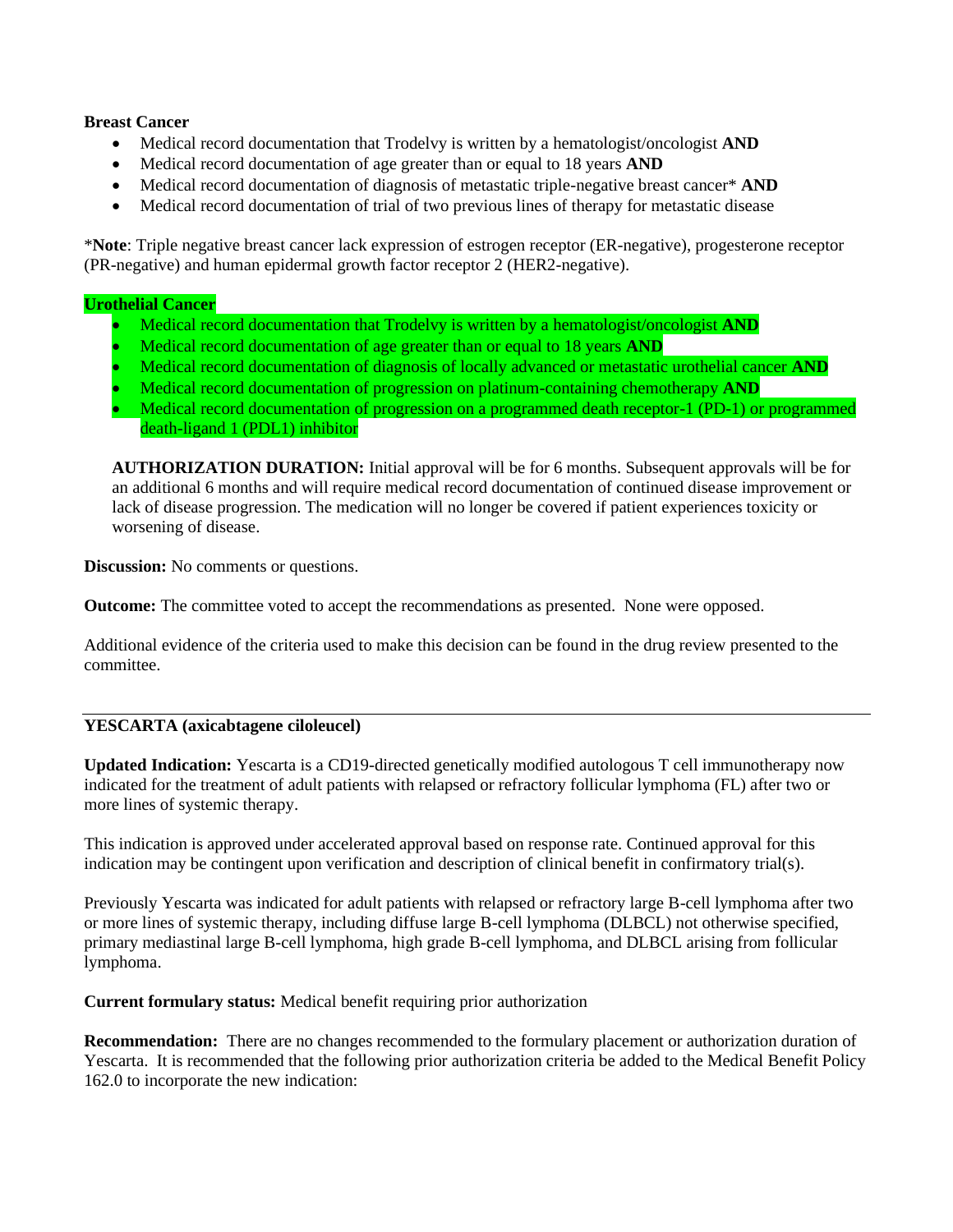#### **Breast Cancer**

- Medical record documentation that Trodelvy is written by a hematologist/oncologist **AND**
- Medical record documentation of age greater than or equal to 18 years **AND**
- Medical record documentation of diagnosis of metastatic triple-negative breast cancer\* **AND**
- Medical record documentation of trial of two previous lines of therapy for metastatic disease

\***Note**: Triple negative breast cancer lack expression of estrogen receptor (ER-negative), progesterone receptor (PR-negative) and human epidermal growth factor receptor 2 (HER2-negative).

#### **Urothelial Cancer**

- Medical record documentation that Trodelvy is written by a hematologist/oncologist **AND**
- Medical record documentation of age greater than or equal to 18 years **AND**
- Medical record documentation of diagnosis of locally advanced or metastatic urothelial cancer **AND**
- Medical record documentation of progression on platinum-containing chemotherapy **AND**
- Medical record documentation of progression on a programmed death receptor-1 (PD-1) or programmed death-ligand 1 (PDL1) inhibitor

**AUTHORIZATION DURATION:** Initial approval will be for 6 months. Subsequent approvals will be for an additional 6 months and will require medical record documentation of continued disease improvement or lack of disease progression. The medication will no longer be covered if patient experiences toxicity or worsening of disease.

**Discussion:** No comments or questions.

**Outcome:** The committee voted to accept the recommendations as presented. None were opposed.

Additional evidence of the criteria used to make this decision can be found in the drug review presented to the committee.

### **YESCARTA (axicabtagene ciloleucel)**

**Updated Indication:** Yescarta is a CD19-directed genetically modified autologous T cell immunotherapy now indicated for the treatment of adult patients with relapsed or refractory follicular lymphoma (FL) after two or more lines of systemic therapy.

This indication is approved under accelerated approval based on response rate. Continued approval for this indication may be contingent upon verification and description of clinical benefit in confirmatory trial(s).

Previously Yescarta was indicated for adult patients with relapsed or refractory large B-cell lymphoma after two or more lines of systemic therapy, including diffuse large B-cell lymphoma (DLBCL) not otherwise specified, primary mediastinal large B-cell lymphoma, high grade B-cell lymphoma, and DLBCL arising from follicular lymphoma.

**Current formulary status:** Medical benefit requiring prior authorization

**Recommendation:** There are no changes recommended to the formulary placement or authorization duration of Yescarta. It is recommended that the following prior authorization criteria be added to the Medical Benefit Policy 162.0 to incorporate the new indication: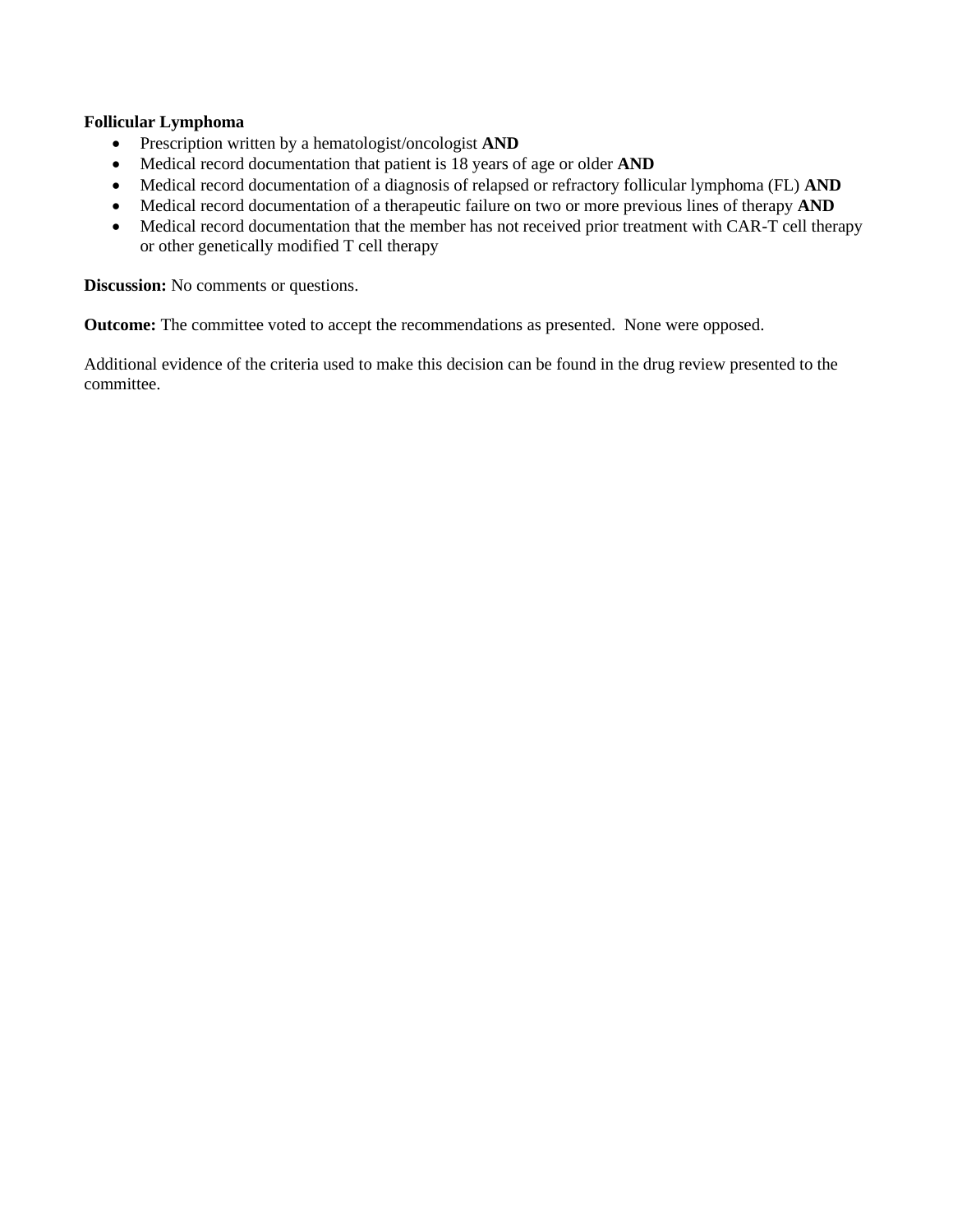### **Follicular Lymphoma**

- Prescription written by a hematologist/oncologist **AND**
- Medical record documentation that patient is 18 years of age or older **AND**
- Medical record documentation of a diagnosis of relapsed or refractory follicular lymphoma (FL) **AND**
- Medical record documentation of a therapeutic failure on two or more previous lines of therapy **AND**
- Medical record documentation that the member has not received prior treatment with CAR-T cell therapy or other genetically modified T cell therapy

**Discussion:** No comments or questions.

**Outcome:** The committee voted to accept the recommendations as presented. None were opposed.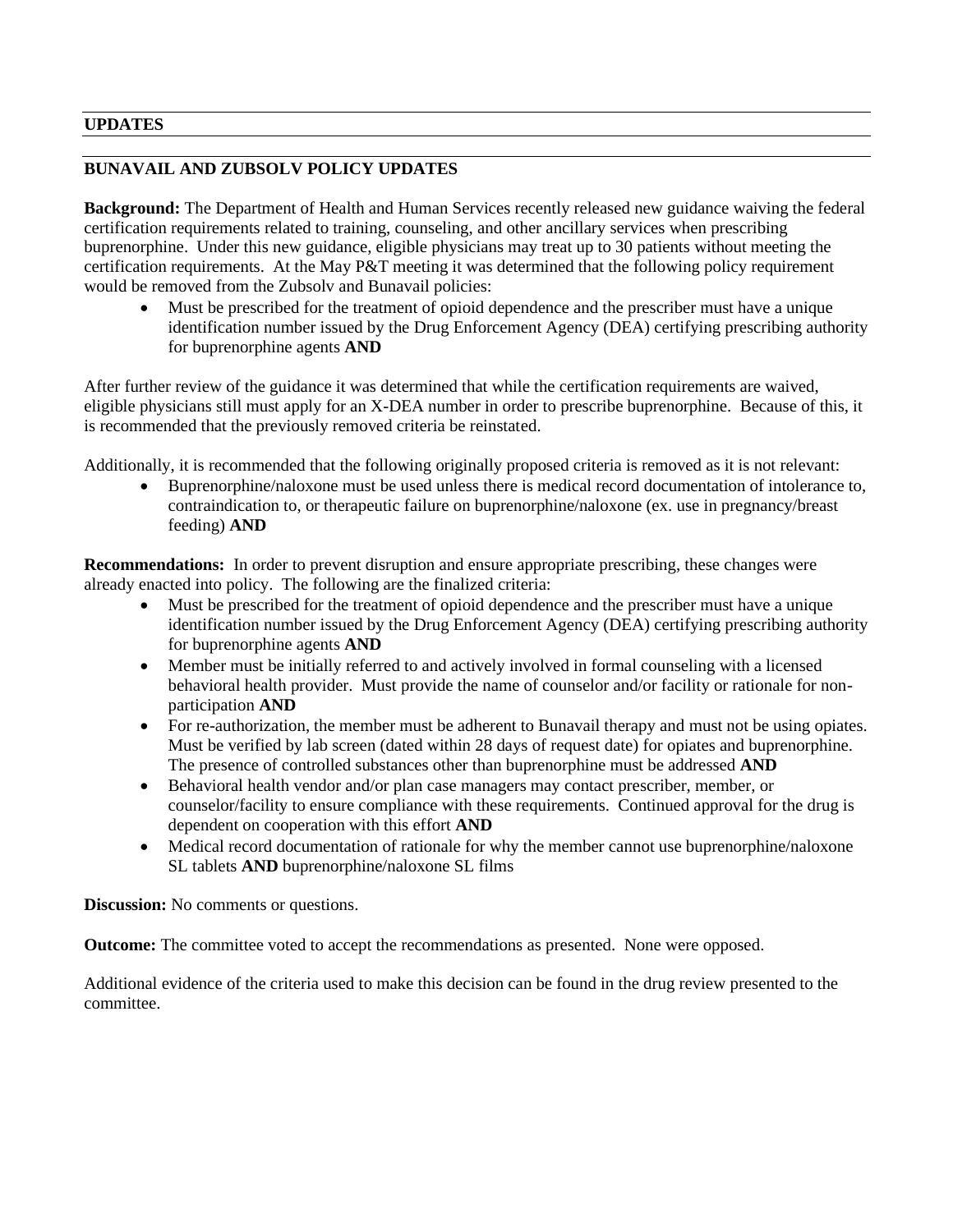### **UPDATES**

# **BUNAVAIL AND ZUBSOLV POLICY UPDATES**

**Background:** The Department of Health and Human Services recently released new guidance waiving the federal certification requirements related to training, counseling, and other ancillary services when prescribing buprenorphine. Under this new guidance, eligible physicians may treat up to 30 patients without meeting the certification requirements. At the May P&T meeting it was determined that the following policy requirement would be removed from the Zubsolv and Bunavail policies:

• Must be prescribed for the treatment of opioid dependence and the prescriber must have a unique identification number issued by the Drug Enforcement Agency (DEA) certifying prescribing authority for buprenorphine agents **AND**

After further review of the guidance it was determined that while the certification requirements are waived, eligible physicians still must apply for an X-DEA number in order to prescribe buprenorphine. Because of this, it is recommended that the previously removed criteria be reinstated.

Additionally, it is recommended that the following originally proposed criteria is removed as it is not relevant:

• Buprenorphine/naloxone must be used unless there is medical record documentation of intolerance to, contraindication to, or therapeutic failure on buprenorphine/naloxone (ex. use in pregnancy/breast feeding) **AND**

**Recommendations:** In order to prevent disruption and ensure appropriate prescribing, these changes were already enacted into policy. The following are the finalized criteria:

- Must be prescribed for the treatment of opioid dependence and the prescriber must have a unique identification number issued by the Drug Enforcement Agency (DEA) certifying prescribing authority for buprenorphine agents **AND**
- Member must be initially referred to and actively involved in formal counseling with a licensed behavioral health provider. Must provide the name of counselor and/or facility or rationale for nonparticipation **AND**
- For re-authorization, the member must be adherent to Bunavail therapy and must not be using opiates. Must be verified by lab screen (dated within 28 days of request date) for opiates and buprenorphine. The presence of controlled substances other than buprenorphine must be addressed **AND**
- Behavioral health vendor and/or plan case managers may contact prescriber, member, or counselor/facility to ensure compliance with these requirements. Continued approval for the drug is dependent on cooperation with this effort **AND**
- Medical record documentation of rationale for why the member cannot use buprenorphine/naloxone SL tablets **AND** buprenorphine/naloxone SL films

**Discussion:** No comments or questions.

**Outcome:** The committee voted to accept the recommendations as presented. None were opposed.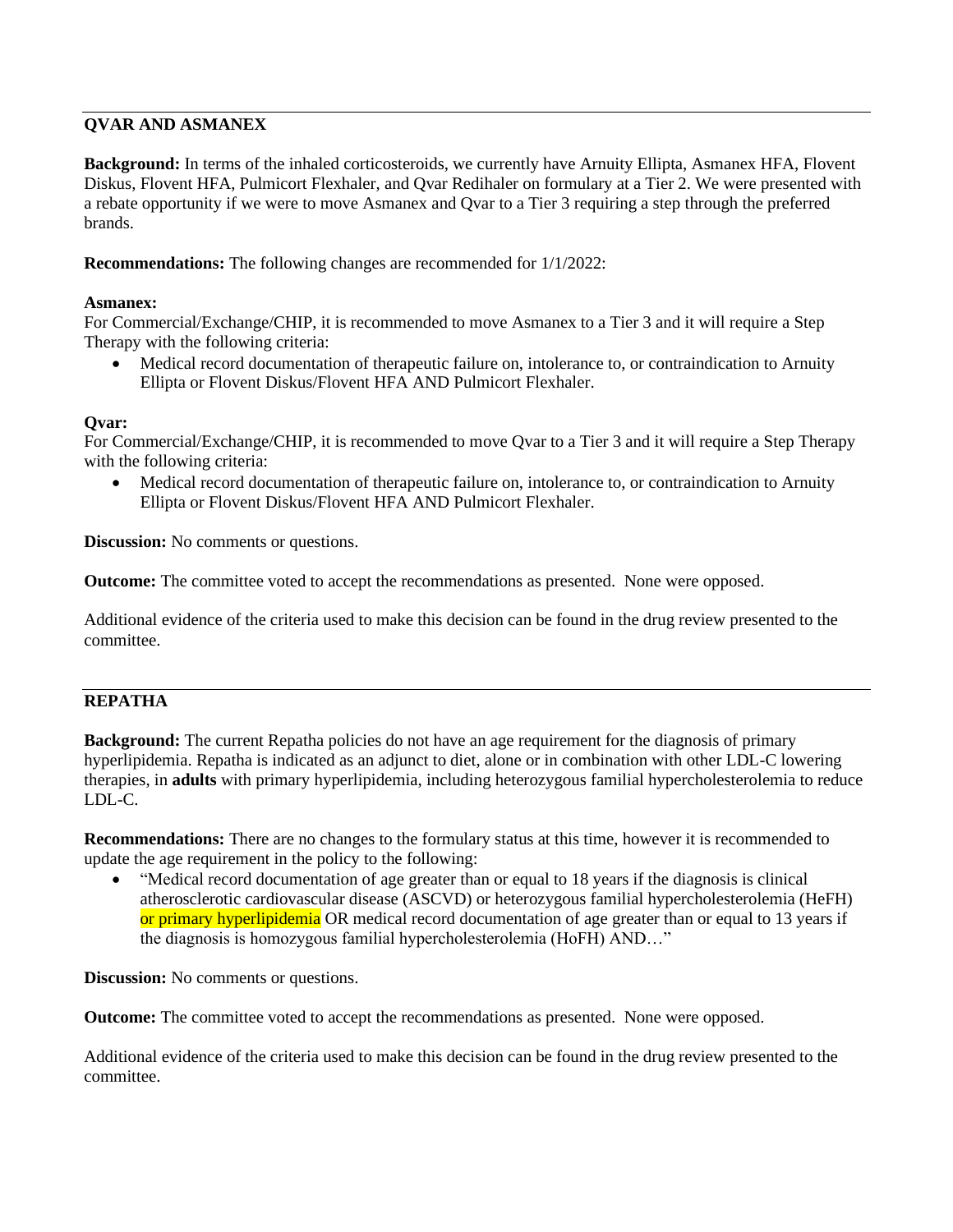# **QVAR AND ASMANEX**

**Background:** In terms of the inhaled corticosteroids, we currently have Arnuity Ellipta, Asmanex HFA, Flovent Diskus, Flovent HFA, Pulmicort Flexhaler, and Qvar Redihaler on formulary at a Tier 2. We were presented with a rebate opportunity if we were to move Asmanex and Qvar to a Tier 3 requiring a step through the preferred brands.

**Recommendations:** The following changes are recommended for 1/1/2022:

### **Asmanex:**

For Commercial/Exchange/CHIP, it is recommended to move Asmanex to a Tier 3 and it will require a Step Therapy with the following criteria:

• Medical record documentation of therapeutic failure on, intolerance to, or contraindication to Arnuity Ellipta or Flovent Diskus/Flovent HFA AND Pulmicort Flexhaler.

## **Qvar:**

For Commercial/Exchange/CHIP, it is recommended to move Qvar to a Tier 3 and it will require a Step Therapy with the following criteria:

• Medical record documentation of therapeutic failure on, intolerance to, or contraindication to Arnuity Ellipta or Flovent Diskus/Flovent HFA AND Pulmicort Flexhaler.

**Discussion:** No comments or questions.

**Outcome:** The committee voted to accept the recommendations as presented. None were opposed.

Additional evidence of the criteria used to make this decision can be found in the drug review presented to the committee.

# **REPATHA**

**Background:** The current Repatha policies do not have an age requirement for the diagnosis of primary hyperlipidemia. Repatha is indicated as an adjunct to diet, alone or in combination with other LDL-C lowering therapies, in **adults** with primary hyperlipidemia, including heterozygous familial hypercholesterolemia to reduce LDL-C.

**Recommendations:** There are no changes to the formulary status at this time, however it is recommended to update the age requirement in the policy to the following:

• "Medical record documentation of age greater than or equal to 18 years if the diagnosis is clinical atherosclerotic cardiovascular disease (ASCVD) or heterozygous familial hypercholesterolemia (HeFH) or primary hyperlipidemia OR medical record documentation of age greater than or equal to 13 years if the diagnosis is homozygous familial hypercholesterolemia (HoFH) AND…"

**Discussion:** No comments or questions.

**Outcome:** The committee voted to accept the recommendations as presented. None were opposed.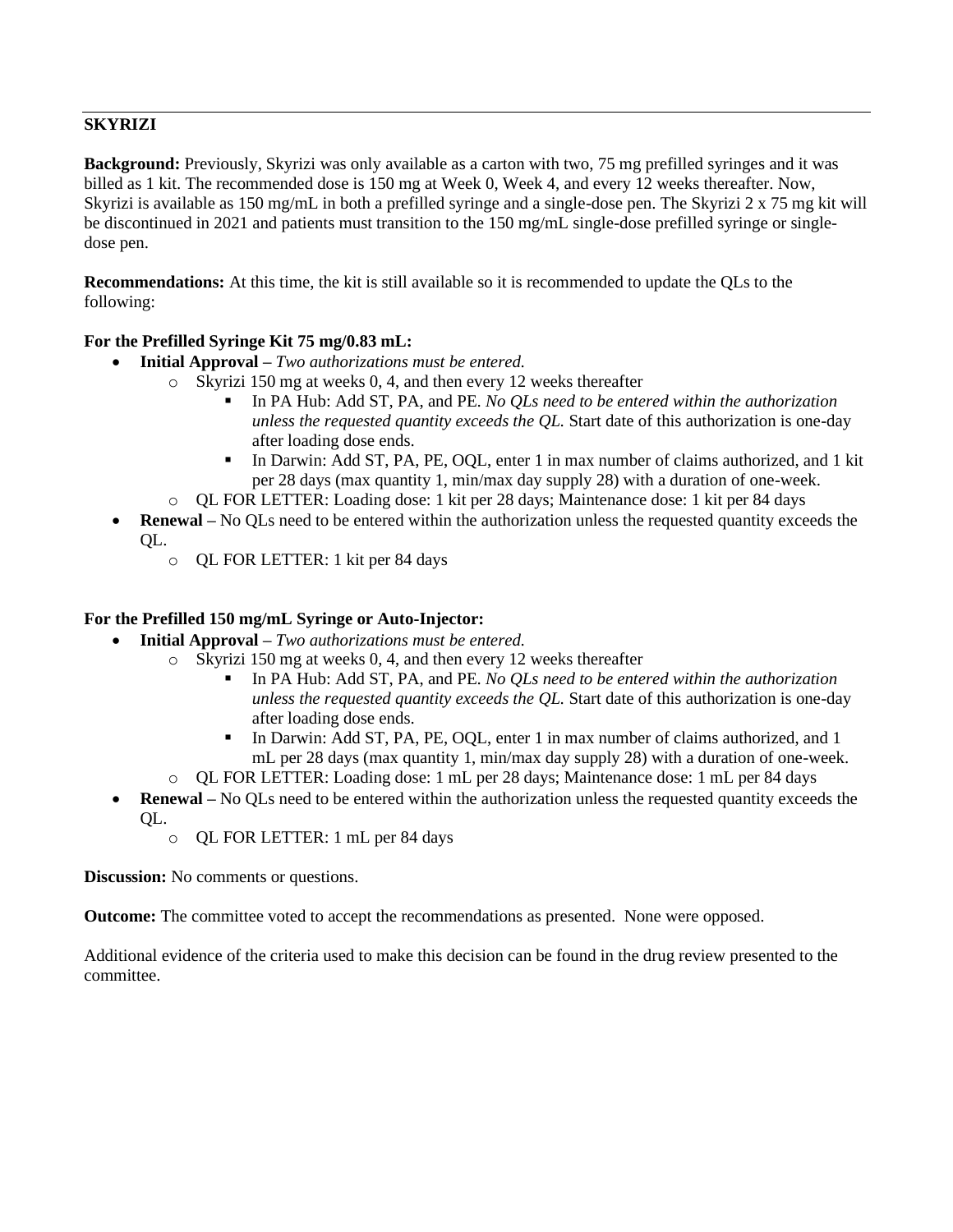# **SKYRIZI**

**Background:** Previously, Skyrizi was only available as a carton with two, 75 mg prefilled syringes and it was billed as 1 kit. The recommended dose is 150 mg at Week 0, Week 4, and every 12 weeks thereafter. Now, Skyrizi is available as 150 mg/mL in both a prefilled syringe and a single-dose pen. The Skyrizi 2 x 75 mg kit will be discontinued in 2021 and patients must transition to the 150 mg/mL single-dose prefilled syringe or singledose pen.

**Recommendations:** At this time, the kit is still available so it is recommended to update the QLs to the following:

## **For the Prefilled Syringe Kit 75 mg/0.83 mL:**

- **Initial Approval –** *Two authorizations must be entered.* 
	- o Skyrizi 150 mg at weeks 0, 4, and then every 12 weeks thereafter
		- In PA Hub: Add ST, PA, and PE. *No OLs need to be entered within the authorization unless the requested quantity exceeds the QL.* Start date of this authorization is one-day after loading dose ends.
		- In Darwin: Add ST, PA, PE, OQL, enter 1 in max number of claims authorized, and 1 kit per 28 days (max quantity 1, min/max day supply 28) with a duration of one-week.
	- o QL FOR LETTER: Loading dose: 1 kit per 28 days; Maintenance dose: 1 kit per 84 days
- **Renewal** No QLs need to be entered within the authorization unless the requested quantity exceeds the QL.
	- o QL FOR LETTER: 1 kit per 84 days

### **For the Prefilled 150 mg/mL Syringe or Auto-Injector:**

- **Initial Approval –** *Two authorizations must be entered.* 
	- o Skyrizi 150 mg at weeks 0, 4, and then every 12 weeks thereafter
		- In PA Hub: Add ST, PA, and PE. *No OLs need to be entered within the authorization unless the requested quantity exceeds the QL.* Start date of this authorization is one-day after loading dose ends.
		- In Darwin: Add ST, PA, PE, OQL, enter 1 in max number of claims authorized, and 1 mL per 28 days (max quantity 1, min/max day supply 28) with a duration of one-week.
	- o QL FOR LETTER: Loading dose: 1 mL per 28 days; Maintenance dose: 1 mL per 84 days
- **Renewal –** No QLs need to be entered within the authorization unless the requested quantity exceeds the QL.
	- o QL FOR LETTER: 1 mL per 84 days

**Discussion:** No comments or questions.

**Outcome:** The committee voted to accept the recommendations as presented. None were opposed.